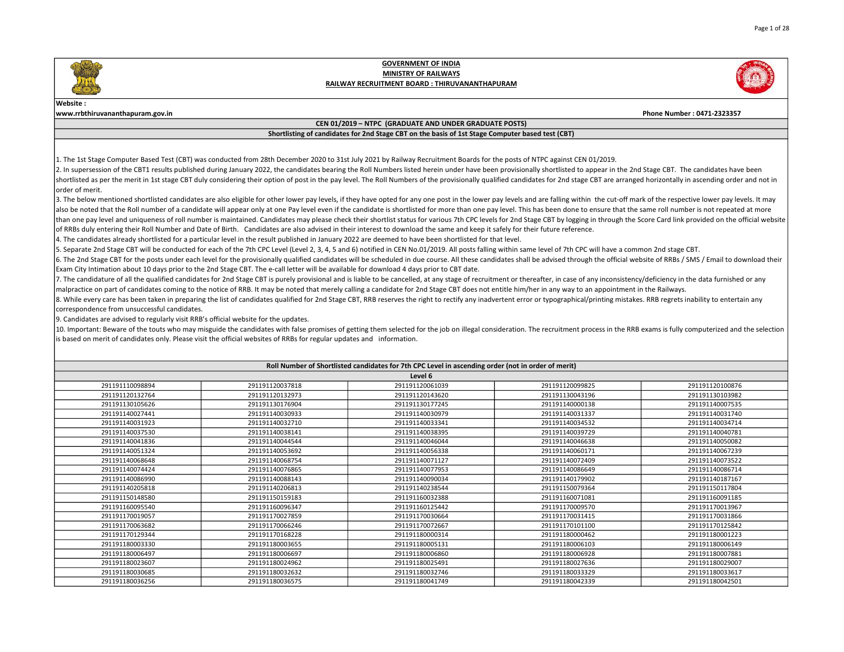

### Website :

www.rrbthiruvananthapuram.gov.in Phone Number : 0471-2323357

### CEN 01/2019 – NTPC (GRADUATE AND UNDER GRADUATE POSTS)

### Shortlisting of candidates for 2nd Stage CBT on the basis of 1st Stage Computer based test (CBT)

1. The 1st Stage Computer Based Test (CBT) was conducted from 28th December 2020 to 31st July 2021 by Railway Recruitment Boards for the posts of NTPC against CEN 01/2019.

2. In supersession of the CBT1 results published during January 2022, the candidates bearing the Roll Numbers listed herein under have been provisionally shortlisted to appear in the 2nd Stage CBT. The candidates have been shortlisted as per the merit in 1st stage CBT duly considering their option of post in the pay level. The Roll Numbers of the provisionally qualified candidates for 2nd stage CBT are arranged horizontally in ascending orde lorder of merit.

3. The below mentioned shortlisted candidates are also eligible for other lower pay levels, if they have opted for any one post in the lower pay levels and are falling within the cut-off mark of the respective lower pay le also be noted that the Roll number of a candidate will appear only at one Pay level even if the candidate is shortlisted for more than one pay level. This has been done to ensure that the same roll number is not repeated a than one pay level and uniqueness of roll number is maintained. Candidates may please check their shortlist status for various 7th CPC levels for 2nd Stage CBT by logging in through the Score Card link provided on the offi of RRBs duly entering their Roll Number and Date of Birth. Candidates are also advised in their interest to download the same and keep it safely for their future reference.

4. The candidates already shortlisted for a particular level in the result published in January 2022 are deemed to have been shortlisted for that level.

5. Separate 2nd Stage CBT will be conducted for each of the 7th CPC Level (Level 2, 3, 4, 5 and 6) notified in CEN No.01/2019. All posts falling within same level of 7th CPC will have a common 2nd stage CBT.

6. The 2nd Stage CBT for the posts under each level for the provisionally qualified candidates will be scheduled in due course. All these candidates shall be advised through the official website of RRBs / SMS / Email to do Exam City Intimation about 10 days prior to the 2nd Stage CBT. The e-call letter will be available for download 4 days prior to CBT date.

7. The candidature of all the qualified candidates for 2nd Stage CBT is purely provisional and is liable to be cancelled, at any stage of recruitment or thereafter, in case of any inconsistency/deficiency in the data furni malpractice on part of candidates coming to the notice of RRB. It may be noted that merely calling a candidate for 2nd Stage CBT does not entitle him/her in any way to an appointment in the Railways.

8. While every care has been taken in preparing the list of candidates qualified for 2nd Stage CBT, RRB reserves the right to rectify any inadvertent error or typographical/printing mistakes. RRB regrets inability to enter correspondence from unsuccessful candidates.

9. Candidates are advised to regularly visit RRB's official website for the updates.

10. Important: Beware of the touts who may misguide the candidates with false promises of getting them selected for the job on illegal consideration. The recruitment process in the RRB exams is fully computerized and the s is based on merit of candidates only. Please visit the official websites of RRBs for regular updates and information.

| Roll Number of Shortlisted candidates for 7th CPC Level in ascending order (not in order of merit) |                 |                 |                 |                 |  |
|----------------------------------------------------------------------------------------------------|-----------------|-----------------|-----------------|-----------------|--|
| Level 6                                                                                            |                 |                 |                 |                 |  |
| 291191110098894                                                                                    | 291191120037818 | 291191120061039 | 291191120099825 | 291191120100876 |  |
| 291191120132764                                                                                    | 291191120132973 | 291191120143620 | 291191130043196 | 291191130103982 |  |
| 291191130105626                                                                                    | 291191130176904 | 291191130177245 | 291191140000138 | 291191140007535 |  |
| 291191140027441                                                                                    | 291191140030933 | 291191140030979 | 291191140031337 | 291191140031740 |  |
| 291191140031923                                                                                    | 291191140032710 | 291191140033341 | 291191140034532 | 291191140034714 |  |
| 291191140037530                                                                                    | 291191140038141 | 291191140038395 | 291191140039729 | 291191140040781 |  |
| 291191140041836                                                                                    | 291191140044544 | 291191140046044 | 291191140046638 | 291191140050082 |  |
| 291191140051324                                                                                    | 291191140053692 | 291191140056338 | 291191140060171 | 291191140067239 |  |
| 291191140068648                                                                                    | 291191140068754 | 291191140071127 | 291191140072409 | 291191140073522 |  |
| 291191140074424                                                                                    | 291191140076865 | 291191140077953 | 291191140086649 | 291191140086714 |  |
| 291191140086990                                                                                    | 291191140088143 | 291191140090034 | 291191140179902 | 291191140187167 |  |
| 291191140205818                                                                                    | 291191140206813 | 291191140238544 | 291191150079364 | 291191150117804 |  |
| 291191150148580                                                                                    | 291191150159183 | 291191160032388 | 291191160071081 | 291191160091185 |  |
| 291191160095540                                                                                    | 291191160096347 | 291191160125442 | 291191170009570 | 291191170013967 |  |
| 291191170019057                                                                                    | 291191170027859 | 291191170030664 | 291191170031415 | 291191170031866 |  |
| 291191170063682                                                                                    | 291191170066246 | 291191170072667 | 291191170101100 | 291191170125842 |  |
| 291191170129344                                                                                    | 291191170168228 | 291191180000314 | 291191180000462 | 291191180001223 |  |
| 291191180003330                                                                                    | 291191180003655 | 291191180005131 | 291191180006103 | 291191180006149 |  |
| 291191180006497                                                                                    | 291191180006697 | 291191180006860 | 291191180006928 | 291191180007881 |  |
| 291191180023607                                                                                    | 291191180024962 | 291191180025491 | 291191180027636 | 291191180029007 |  |
| 291191180030685                                                                                    | 291191180032632 | 291191180032746 | 291191180033329 | 291191180033617 |  |
| 291191180036256                                                                                    | 291191180036575 | 291191180041749 | 291191180042339 | 291191180042501 |  |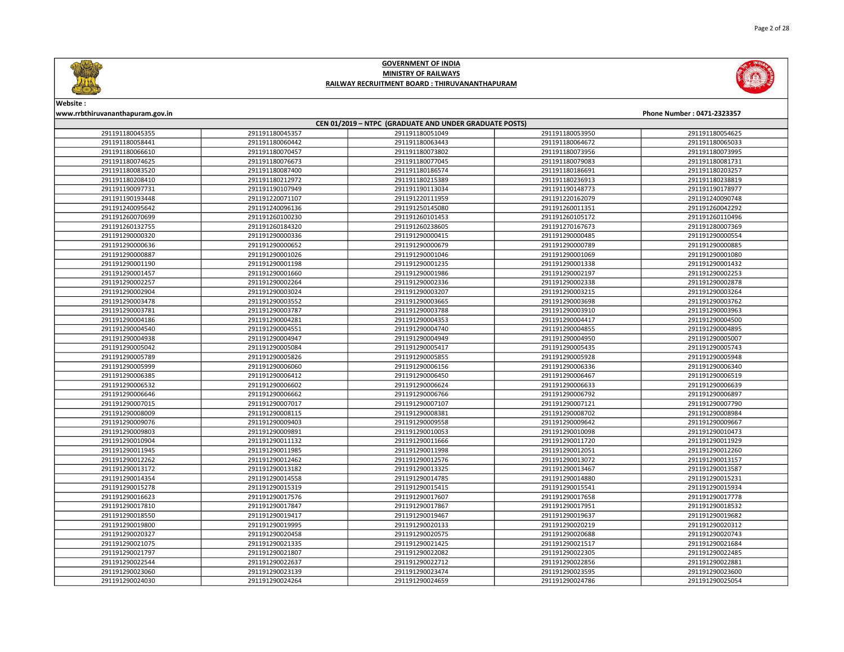



# Website :

| www.rrbthiruvananthapuram.gov.in<br>Phone Number: 0471-2323357 |                                                        |                 |                 |                 |  |  |
|----------------------------------------------------------------|--------------------------------------------------------|-----------------|-----------------|-----------------|--|--|
|                                                                | CEN 01/2019 - NTPC (GRADUATE AND UNDER GRADUATE POSTS) |                 |                 |                 |  |  |
| 291191180045355                                                | 291191180045357                                        | 291191180051049 | 291191180053950 | 291191180054625 |  |  |
| 291191180058441                                                | 291191180060442                                        | 291191180063443 | 291191180064672 | 291191180065033 |  |  |
| 291191180066610                                                | 291191180070457                                        | 291191180073802 | 291191180073956 | 291191180073995 |  |  |
| 291191180074625                                                | 291191180076673                                        | 291191180077045 | 291191180079083 | 291191180081731 |  |  |
| 291191180083520                                                | 291191180087400                                        | 291191180186574 | 291191180186691 | 291191180203257 |  |  |
| 291191180208410                                                | 291191180212972                                        | 291191180215389 | 291191180236913 | 291191180238819 |  |  |
| 291191190097731                                                | 291191190107949                                        | 291191190113034 | 291191190148773 | 291191190178977 |  |  |
| 291191190193448                                                | 291191220071107                                        | 291191220111959 | 291191220162079 | 291191240090748 |  |  |
| 291191240095642                                                | 291191240096136                                        | 291191250145080 | 291191260011351 | 291191260042292 |  |  |
| 291191260070699                                                | 291191260100230                                        | 291191260101453 | 291191260105172 | 291191260110496 |  |  |
| 291191260132755                                                | 291191260184320                                        | 291191260238605 | 291191270167673 | 291191280007369 |  |  |
| 291191290000320                                                | 291191290000336                                        | 291191290000415 | 291191290000485 | 291191290000554 |  |  |
| 291191290000636                                                | 291191290000652                                        | 291191290000679 | 291191290000789 | 291191290000885 |  |  |
| 291191290000887                                                | 291191290001026                                        | 291191290001046 | 291191290001069 | 291191290001080 |  |  |
| 291191290001190                                                | 291191290001198                                        | 291191290001235 | 291191290001338 | 291191290001432 |  |  |
| 291191290001457                                                | 291191290001660                                        | 291191290001986 | 291191290002197 | 291191290002253 |  |  |
| 291191290002257                                                | 291191290002264                                        | 291191290002336 | 291191290002338 | 291191290002878 |  |  |
| 291191290002904                                                | 291191290003024                                        | 291191290003207 | 291191290003215 | 291191290003264 |  |  |
| 291191290003478                                                | 291191290003552                                        | 291191290003665 | 291191290003698 | 291191290003762 |  |  |
| 291191290003781                                                | 291191290003787                                        | 291191290003788 | 291191290003910 | 291191290003963 |  |  |
| 291191290004186                                                | 291191290004281                                        | 291191290004353 | 291191290004417 | 291191290004500 |  |  |
| 291191290004540                                                | 291191290004551                                        | 291191290004740 | 291191290004855 | 291191290004895 |  |  |
| 291191290004938                                                | 291191290004947                                        | 291191290004949 | 291191290004950 | 291191290005007 |  |  |
| 291191290005042                                                | 291191290005084                                        | 291191290005417 | 291191290005435 | 291191290005743 |  |  |
| 291191290005789                                                | 291191290005826                                        | 291191290005855 | 291191290005928 | 291191290005948 |  |  |
| 291191290005999                                                | 291191290006060                                        | 291191290006156 | 291191290006336 | 291191290006340 |  |  |
| 291191290006385                                                | 291191290006412                                        | 291191290006450 | 291191290006467 | 291191290006519 |  |  |
| 291191290006532                                                | 291191290006602                                        | 291191290006624 | 291191290006633 | 291191290006639 |  |  |
| 291191290006646                                                | 291191290006662                                        | 291191290006766 | 291191290006792 | 291191290006897 |  |  |
| 291191290007015                                                | 291191290007017                                        | 291191290007107 | 291191290007121 | 291191290007790 |  |  |
| 291191290008009                                                | 291191290008115                                        | 291191290008381 | 291191290008702 | 291191290008984 |  |  |
| 291191290009076                                                | 291191290009403                                        | 291191290009558 | 291191290009642 | 291191290009667 |  |  |
| 291191290009803                                                | 291191290009891                                        | 291191290010053 | 291191290010098 | 291191290010473 |  |  |
| 291191290010904                                                | 291191290011132                                        | 291191290011666 | 291191290011720 | 291191290011929 |  |  |
| 291191290011945                                                | 291191290011985                                        | 291191290011998 | 291191290012051 | 291191290012260 |  |  |
| 291191290012262                                                | 291191290012462                                        | 291191290012576 | 291191290013072 | 291191290013157 |  |  |
| 291191290013172                                                | 291191290013182                                        | 291191290013325 | 291191290013467 | 291191290013587 |  |  |
| 291191290014354                                                | 291191290014558                                        | 291191290014785 | 291191290014880 | 291191290015231 |  |  |
| 291191290015278                                                | 291191290015319                                        | 291191290015415 | 291191290015541 | 291191290015934 |  |  |
| 291191290016623                                                | 291191290017576                                        | 291191290017607 | 291191290017658 | 291191290017778 |  |  |
| 291191290017810                                                | 291191290017847                                        | 291191290017867 | 291191290017951 | 291191290018532 |  |  |
| 291191290018550                                                | 291191290019417                                        | 291191290019467 | 291191290019637 | 291191290019682 |  |  |
| 291191290019800                                                | 291191290019995                                        | 291191290020133 | 291191290020219 | 291191290020312 |  |  |
| 291191290020327                                                | 291191290020458                                        | 291191290020575 | 291191290020688 | 291191290020743 |  |  |
| 291191290021075                                                | 291191290021335                                        | 291191290021425 | 291191290021517 | 291191290021684 |  |  |
| 291191290021797                                                | 291191290021807                                        | 291191290022082 | 291191290022305 | 291191290022485 |  |  |
| 291191290022544                                                | 291191290022637                                        | 291191290022712 | 291191290022856 | 291191290022881 |  |  |
| 291191290023060                                                | 291191290023139                                        | 291191290023474 | 291191290023595 | 291191290023600 |  |  |
| 291191290024030                                                | 291191290024264                                        | 291191290024659 | 291191290024786 | 291191290025054 |  |  |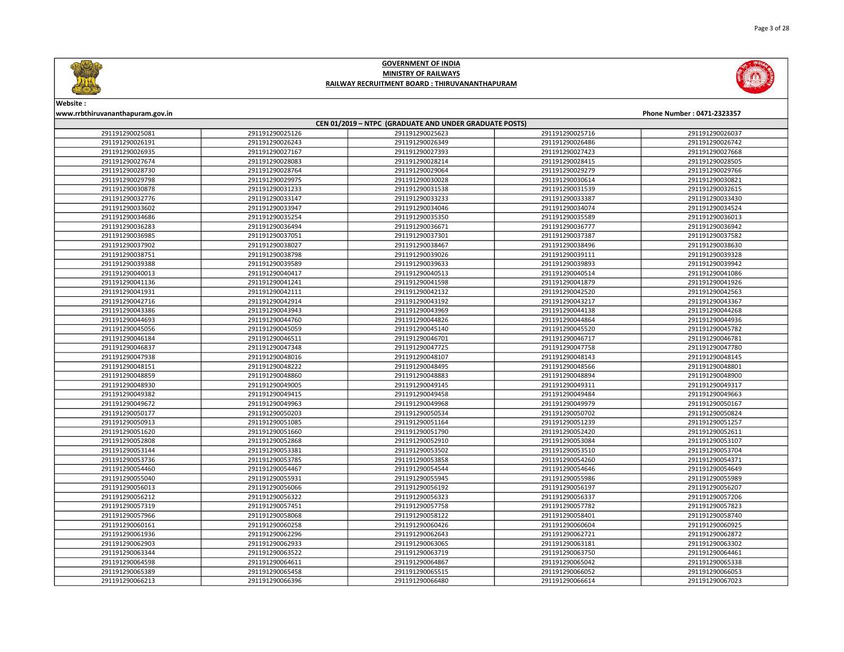



Website :

### www.rrbthiruvananthapuram.gov.in Phone Number : 0471-2323357 CEN 01/2019 – NTPC (GRADUATE AND UNDER GRADUATE POSTS) 291191290025126 291191290025623 291191290025716 291191290026037 291191290026243 291191290026349 291191290026486 291191290026742 291191290027167 291191290027393 291191290027423 291191290027668 291191290028083 291191290028214 291191290028415 291191290028505 291191290028764 291191290029064 291191290029279 291191290029766 291191290029975 291191290030028 291191290030614 291191290030821 291191290031233 291191290031538 291191290031539 291191290032615 291191290033147 291191290033233 291191290033387 291191290033430 291191290033947 291191290034046 291191290034074 291191290034524 291191290035254 291191290035350 291191290035589 291191290036013 291191290036494 291191290036671 291191290036777 291191290036942 291191290037051 291191290037301 291191290037387 291191290037582 291191290038027 291191290038467 291191290038496 291191290038630 291191290038798 291191290039026 291191290039111 291191290039328 291191290039589 291191290039633 291191290039893 291191290039942 291191290040417 291191290040513 291191290040514 291191290041086 291191290041241 291191290041598 291191290041879 291191290041926 291191290042111 291191290042132 291191290042520 291191290042563 291191290042914 291191290043192 291191290043217 291191290043367 291191290043943 291191290043969 291191290044138 291191290044268 291191290044760 291191290044826 291191290044864 291191290044936 291191290045059 291191290045140 291191290045520 291191290045782 291191290046511 291191290046701 291191290046717 291191290046781 291191290047348 291191290047725 291191290047758 291191290047780 291191290048016 291191290048107 291191290048143 291191290048145 291191290048222 291191290048495 291191290048566 291191290048801 291191290048860 291191290048883 291191290048894 291191290048900 291191290049005 291191290049145 291191290049311 291191290049317 291191290049415 291191290049458 291191290049484 291191290049663 291191290049963 291191290049968 291191290049979 291191290050167 291191290050203 291191290050534 291191290050702 291191290050824 291191290051085 291191290051164 291191290051239 291191290051257 291191290051660 291191290051790 291191290052420 291191290052611 291191290052868 291191290052910 291191290053084 291191290053107 291191290053381 291191290053502 291191290053510 291191290053704 291191290053785 291191290053858 291191290054260 291191290054371 291191290054467 291191290054544 291191290054646 291191290054649 291191290055931 291191290055945 291191290055986 291191290055989 291191290056066 291191290056192 291191290056197 291191290056207 291191290056322 291191290056323 291191290056337 291191290057206 291191290057451 291191290057758 291191290057782 291191290057823 291191290058068 291191290058122 291191290058401 291191290058740 291191290060258 291191290060426 291191290060604 291191290060925 291191290062296 291191290062643 291191290062721 291191290062872 291191290062933 291191290063065 291191290063181 291191290063302 291191290063522 291191290063719 291191290063750 291191290064461 291191290064611 291191290064867 291191290065042 291191290065338 291191290065458 291191290065515 291191290066052 291191290066053 291191290066396 291191290066480 291191290066614 291191290067023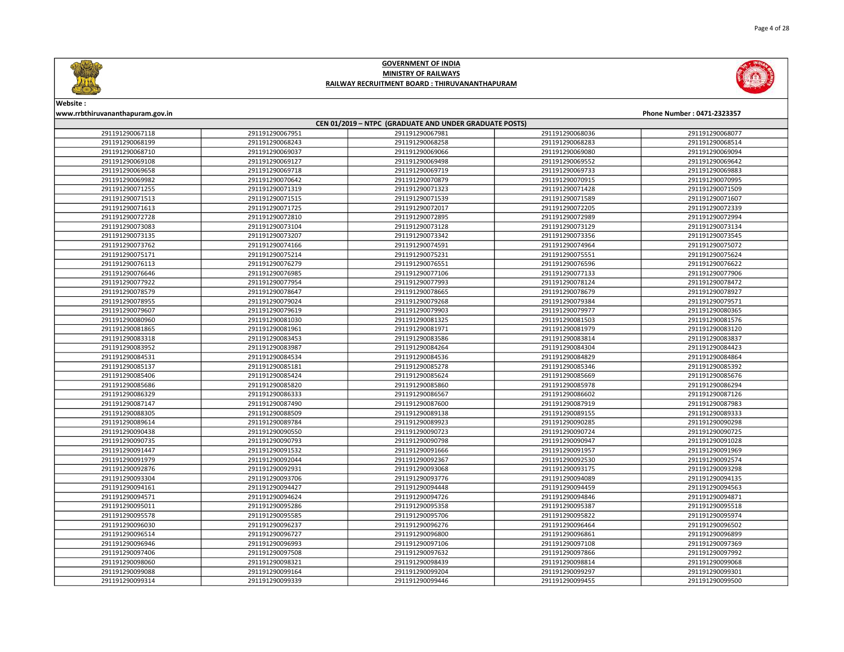



### Website :

| CEN 01/2019 - NTPC (GRADUATE AND UNDER GRADUATE POSTS) |                 |                 |                 |                 |  |
|--------------------------------------------------------|-----------------|-----------------|-----------------|-----------------|--|
| 291191290067118                                        | 291191290067951 | 291191290067981 | 291191290068036 | 291191290068077 |  |
| 291191290068199                                        | 291191290068243 | 291191290068258 | 291191290068283 | 291191290068514 |  |
| 291191290068710                                        | 291191290069037 | 291191290069066 | 291191290069080 | 291191290069094 |  |
| 291191290069108                                        | 291191290069127 | 291191290069498 | 291191290069552 | 291191290069642 |  |
| 291191290069658                                        | 291191290069718 | 291191290069719 | 291191290069733 | 291191290069883 |  |
| 291191290069982                                        | 291191290070642 | 291191290070879 | 291191290070915 | 291191290070995 |  |
| 291191290071255                                        | 291191290071319 | 291191290071323 | 291191290071428 | 291191290071509 |  |
| 291191290071513                                        | 291191290071515 | 291191290071539 | 291191290071589 | 291191290071607 |  |
| 291191290071613                                        | 291191290071725 | 291191290072017 | 291191290072205 | 291191290072339 |  |
| 291191290072728                                        | 291191290072810 | 291191290072895 | 291191290072989 | 291191290072994 |  |
| 291191290073083                                        | 291191290073104 | 291191290073128 | 291191290073129 | 291191290073134 |  |
| 291191290073135                                        | 291191290073207 | 291191290073342 | 291191290073356 | 291191290073545 |  |
| 291191290073762                                        | 291191290074166 | 291191290074591 | 291191290074964 | 291191290075072 |  |
| 291191290075171                                        | 291191290075214 | 291191290075231 | 291191290075551 | 291191290075624 |  |
| 291191290076113                                        | 291191290076279 | 291191290076551 | 291191290076596 | 291191290076622 |  |
| 291191290076646                                        | 291191290076985 | 291191290077106 | 291191290077133 | 291191290077906 |  |
| 291191290077922                                        | 291191290077954 | 291191290077993 | 291191290078124 | 291191290078472 |  |
| 291191290078579                                        | 291191290078647 | 291191290078665 | 291191290078679 | 291191290078927 |  |
| 291191290078955                                        | 291191290079024 | 291191290079268 | 291191290079384 | 291191290079571 |  |
| 291191290079607                                        | 291191290079619 | 291191290079903 | 291191290079977 | 291191290080365 |  |
| 291191290080960                                        | 291191290081030 | 291191290081325 | 291191290081503 | 291191290081576 |  |
| 291191290081865                                        | 291191290081961 | 291191290081971 | 291191290081979 | 291191290083120 |  |
| 291191290083318                                        | 291191290083453 | 291191290083586 | 291191290083814 | 291191290083837 |  |
| 291191290083952                                        | 291191290083987 | 291191290084264 | 291191290084304 | 291191290084423 |  |
| 291191290084531                                        | 291191290084534 | 291191290084536 | 291191290084829 | 291191290084864 |  |
| 291191290085137                                        | 291191290085181 | 291191290085278 | 291191290085346 | 291191290085392 |  |
| 291191290085406                                        | 291191290085424 | 291191290085624 | 291191290085669 | 291191290085676 |  |
| 291191290085686                                        | 291191290085820 | 291191290085860 | 291191290085978 | 291191290086294 |  |
| 291191290086329                                        | 291191290086333 | 291191290086567 | 291191290086602 | 291191290087126 |  |
| 291191290087147                                        | 291191290087490 | 291191290087600 | 291191290087919 | 291191290087983 |  |
| 291191290088305                                        | 291191290088509 | 291191290089138 | 291191290089155 | 291191290089333 |  |
| 291191290089614                                        | 291191290089784 | 291191290089923 | 291191290090285 | 291191290090298 |  |
| 291191290090438                                        | 291191290090550 | 291191290090723 | 291191290090724 | 291191290090725 |  |
| 291191290090735                                        | 291191290090793 | 291191290090798 | 291191290090947 | 291191290091028 |  |
| 291191290091447                                        | 291191290091532 | 291191290091666 | 291191290091957 | 291191290091969 |  |
| 291191290091979                                        | 291191290092044 | 291191290092367 | 291191290092530 | 291191290092574 |  |
| 291191290092876                                        | 291191290092931 | 291191290093068 | 291191290093175 | 291191290093298 |  |
| 291191290093304                                        | 291191290093706 | 291191290093776 | 291191290094089 | 291191290094135 |  |
| 291191290094161                                        | 291191290094427 | 291191290094448 | 291191290094459 | 291191290094563 |  |
| 291191290094571                                        | 291191290094624 | 291191290094726 | 291191290094846 | 291191290094871 |  |
| 291191290095011                                        | 291191290095286 | 291191290095358 | 291191290095387 | 291191290095518 |  |
| 291191290095578                                        | 291191290095585 | 291191290095706 | 291191290095822 | 291191290095974 |  |
| 291191290096030                                        | 291191290096237 | 291191290096276 | 291191290096464 | 291191290096502 |  |
| 291191290096514                                        | 291191290096727 | 291191290096800 | 291191290096861 | 291191290096899 |  |
| 291191290096946                                        | 291191290096993 | 291191290097106 | 291191290097108 | 291191290097369 |  |
| 291191290097406                                        | 291191290097508 | 291191290097632 | 291191290097866 | 291191290097992 |  |
| 291191290098060                                        | 291191290098321 | 291191290098439 | 291191290098814 | 291191290099068 |  |
| 291191290099088                                        | 291191290099164 | 291191290099204 | 291191290099297 | 291191290099301 |  |
| 291191290099314                                        | 291191290099339 | 291191290099446 | 291191290099455 | 291191290099500 |  |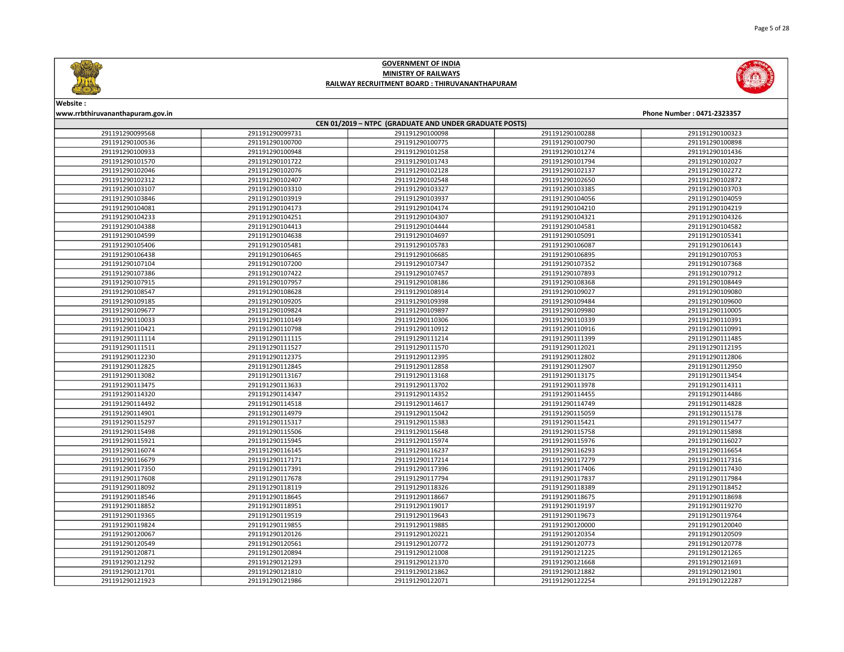



Website :

### www.rrbthiruvananthapuram.gov.in Phone Number : 0471-2323357 CEN 01/2019 – NTPC (GRADUATE AND UNDER GRADUATE POSTS) 291191290099731 291191290100098 291191290100288 291191290100323 291191290100700 291191290100775 291191290100790 291191290100898 291191290100948 291191290101258 291191290101274 291191290101436 291191290101722 291191290101743 291191290101794 291191290102027 291191290102076 291191290102128 291191290102137 291191290102272 291191290102407 291191290102548 291191290102650 291191290102872 291191290103310 291191290103327 291191290103385 291191290103703 291191290103919 291191290103937 291191290104056 291191290104059 291191290104173 291191290104174 291191290104210 291191290104219 291191290104251 291191290104307 291191290104321 291191290104326 291191290104413 291191290104444 291191290104581 291191290104582 291191290104638 291191290104697 291191290105091 291191290105341 291191290105481 291191290105783 291191290106087 291191290106143 291191290106465 291191290106685 291191290106895 291191290107053 291191290107200 291191290107347 291191290107352 291191290107368 291191290107422 291191290107457 291191290107893 291191290107912 291191290107957 291191290108186 291191290108368 291191290108449 291191290108628 291191290108914 291191290109027 291191290109080 291191290109205 291191290109398 291191290109484 291191290109600 291191290109824 291191290109897 291191290109980 291191290110005 291191290110149 291191290110306 291191290110339 291191290110391 291191290110798 291191290110912 291191290110916 291191290110991 291191290111115 291191290111214 291191290111399 291191290111485 291191290111527 291191290111570 291191290112021 291191290112195 291191290112375 291191290112395 291191290112802 291191290112806 291191290112845 291191290112858 291191290112907 291191290112950 291191290113167 291191290113168 291191290113175 291191290113454 291191290113633 291191290113702 291191290113978 291191290114311 291191290114347 291191290114352 291191290114455 291191290114486 291191290114518 291191290114617 291191290114749 291191290114828 291191290114979 291191290115042 291191290115059 291191290115178 291191290115317 291191290115383 291191290115421 291191290115477 291191290115506 291191290115648 291191290115758 291191290115898 291191290115945 291191290115974 291191290115976 291191290116027 291191290116145 291191290116237 291191290116293 291191290116654 291191290117171 291191290117214 291191290117279 291191290117316 291191290117391 291191290117396 291191290117406 291191290117430 291191290117678 291191290117794 291191290117837 291191290117984 291191290118119 291191290118326 291191290118389 291191290118452 291191290118645 291191290118667 291191290118675 291191290118698 291191290118951 291191290119017 291191290119197 291191290119270 291191290119519 291191290119643 291191290119673 291191290119764 291191290119855 291191290119885 291191290120000 291191290120040 291191290120126 291191290120221 291191290120354 291191290120509 291191290120561 291191290120772 291191290120773 291191290120778 291191290120894 291191290121008 291191290121225 291191290121265 291191290121293 291191290121370 291191290121668 291191290121691 291191290121810 291191290121862 291191290121882 291191290121901 291191290121986 291191290122071 291191290122254 291191290122287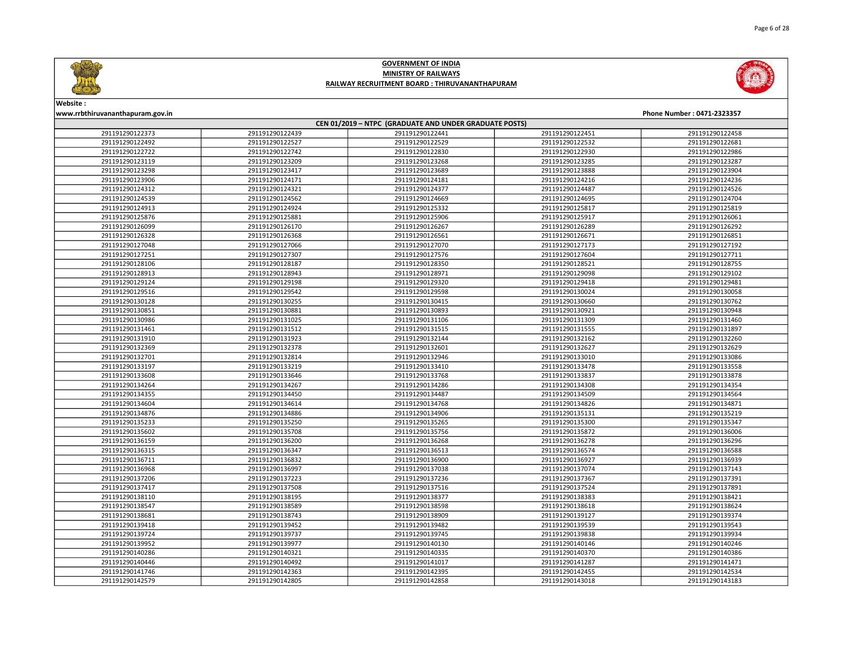



### Website :

| CEN 01/2019 - NTPC (GRADUATE AND UNDER GRADUATE POSTS) |                 |                 |                 |                 |  |
|--------------------------------------------------------|-----------------|-----------------|-----------------|-----------------|--|
| 291191290122373                                        | 291191290122439 | 291191290122441 | 291191290122451 | 291191290122458 |  |
| 291191290122492                                        | 291191290122527 | 291191290122529 | 291191290122532 | 291191290122681 |  |
| 291191290122722                                        | 291191290122742 | 291191290122830 | 291191290122930 | 291191290122986 |  |
| 291191290123119                                        | 291191290123209 | 291191290123268 | 291191290123285 | 291191290123287 |  |
| 291191290123298                                        | 291191290123417 | 291191290123689 | 291191290123888 | 291191290123904 |  |
| 291191290123906                                        | 291191290124171 | 291191290124181 | 291191290124216 | 291191290124236 |  |
| 291191290124312                                        | 291191290124321 | 291191290124377 | 291191290124487 | 291191290124526 |  |
| 291191290124539                                        | 291191290124562 | 291191290124669 | 291191290124695 | 291191290124704 |  |
| 291191290124913                                        | 291191290124924 | 291191290125332 | 291191290125817 | 291191290125819 |  |
| 291191290125876                                        | 291191290125881 | 291191290125906 | 291191290125917 | 291191290126061 |  |
| 291191290126099                                        | 291191290126170 | 291191290126267 | 291191290126289 | 291191290126292 |  |
| 291191290126328                                        | 291191290126368 | 291191290126561 | 291191290126671 | 291191290126851 |  |
| 291191290127048                                        | 291191290127066 | 291191290127070 | 291191290127173 | 291191290127192 |  |
| 291191290127251                                        | 291191290127307 | 291191290127576 | 291191290127604 | 291191290127711 |  |
| 291191290128106                                        | 291191290128187 | 291191290128350 | 291191290128521 | 291191290128755 |  |
| 291191290128913                                        | 291191290128943 | 291191290128971 | 291191290129098 | 291191290129102 |  |
| 291191290129124                                        | 291191290129198 | 291191290129320 | 291191290129418 | 291191290129481 |  |
| 291191290129516                                        | 291191290129542 | 291191290129598 | 291191290130024 | 291191290130058 |  |
| 291191290130128                                        | 291191290130255 | 291191290130415 | 291191290130660 | 291191290130762 |  |
| 291191290130851                                        | 291191290130881 | 291191290130893 | 291191290130921 | 291191290130948 |  |
| 291191290130986                                        | 291191290131025 | 291191290131106 | 291191290131309 | 291191290131460 |  |
| 291191290131461                                        | 291191290131512 | 291191290131515 | 291191290131555 | 291191290131897 |  |
| 291191290131910                                        | 291191290131923 | 291191290132144 | 291191290132162 | 291191290132260 |  |
| 291191290132369                                        | 291191290132378 | 291191290132601 | 291191290132627 | 291191290132629 |  |
| 291191290132701                                        | 291191290132814 | 291191290132946 | 291191290133010 | 291191290133086 |  |
| 291191290133197                                        | 291191290133219 | 291191290133410 | 291191290133478 | 291191290133558 |  |
| 291191290133608                                        | 291191290133646 | 291191290133768 | 291191290133837 | 291191290133878 |  |
| 291191290134264                                        | 291191290134267 | 291191290134286 | 291191290134308 | 291191290134354 |  |
| 291191290134355                                        | 291191290134450 | 291191290134487 | 291191290134509 | 291191290134564 |  |
| 291191290134604                                        | 291191290134614 | 291191290134768 | 291191290134826 | 291191290134871 |  |
| 291191290134876                                        | 291191290134886 | 291191290134906 | 291191290135131 | 291191290135219 |  |
| 291191290135233                                        | 291191290135250 | 291191290135265 | 291191290135300 | 291191290135347 |  |
| 291191290135602                                        | 291191290135708 | 291191290135756 | 291191290135872 | 291191290136006 |  |
| 291191290136159                                        | 291191290136200 | 291191290136268 | 291191290136278 | 291191290136296 |  |
| 291191290136315                                        | 291191290136347 | 291191290136513 | 291191290136574 | 291191290136588 |  |
| 291191290136711                                        | 291191290136832 | 291191290136900 | 291191290136927 | 291191290136939 |  |
| 291191290136968                                        | 291191290136997 | 291191290137038 | 291191290137074 | 291191290137143 |  |
| 291191290137206                                        | 291191290137223 | 291191290137236 | 291191290137367 | 291191290137391 |  |
| 291191290137417                                        | 291191290137508 | 291191290137516 | 291191290137524 | 291191290137891 |  |
| 291191290138110                                        | 291191290138195 | 291191290138377 | 291191290138383 | 291191290138421 |  |
| 291191290138547                                        | 291191290138589 | 291191290138598 | 291191290138618 | 291191290138624 |  |
| 291191290138681                                        | 291191290138743 | 291191290138909 | 291191290139127 | 291191290139374 |  |
| 291191290139418                                        | 291191290139452 | 291191290139482 | 291191290139539 | 291191290139543 |  |
| 291191290139724                                        | 291191290139737 | 291191290139745 | 291191290139838 | 291191290139934 |  |
| 291191290139952                                        | 291191290139977 | 291191290140130 | 291191290140146 | 291191290140246 |  |
| 291191290140286                                        | 291191290140321 | 291191290140335 | 291191290140370 | 291191290140386 |  |
| 291191290140446                                        | 291191290140492 | 291191290141017 | 291191290141287 | 291191290141471 |  |
| 291191290141746                                        | 291191290142363 | 291191290142395 | 291191290142455 | 291191290142534 |  |
| 291191290142579                                        | 291191290142805 | 291191290142858 | 291191290143018 | 291191290143183 |  |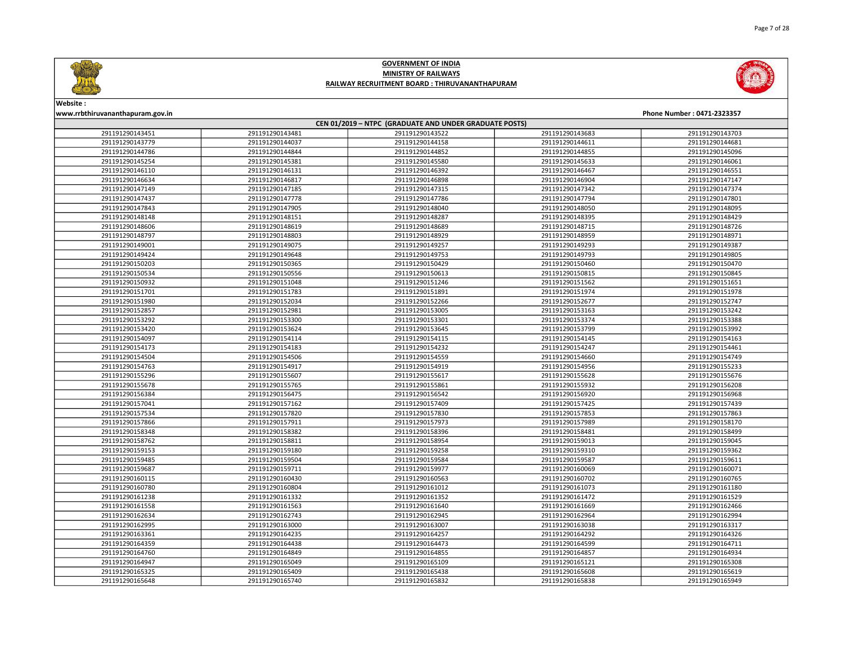



# Website :

| CEN 01/2019 - NTPC (GRADUATE AND UNDER GRADUATE POSTS) |                 |                 |                 |                 |  |
|--------------------------------------------------------|-----------------|-----------------|-----------------|-----------------|--|
| 291191290143451                                        | 291191290143481 | 291191290143522 | 291191290143683 | 291191290143703 |  |
| 291191290143779                                        | 291191290144037 | 291191290144158 | 291191290144611 | 291191290144681 |  |
| 291191290144786                                        | 291191290144844 | 291191290144852 | 291191290144855 | 291191290145096 |  |
| 291191290145254                                        | 291191290145381 | 291191290145580 | 291191290145633 | 291191290146061 |  |
| 291191290146110                                        | 291191290146131 | 291191290146392 | 291191290146467 | 291191290146551 |  |
| 291191290146634                                        | 291191290146817 | 291191290146898 | 291191290146904 | 291191290147147 |  |
| 291191290147149                                        | 291191290147185 | 291191290147315 | 291191290147342 | 291191290147374 |  |
| 291191290147437                                        | 291191290147778 | 291191290147786 | 291191290147794 | 291191290147801 |  |
| 291191290147843                                        | 291191290147905 | 291191290148040 | 291191290148050 | 291191290148095 |  |
| 291191290148148                                        | 291191290148151 | 291191290148287 | 291191290148395 | 291191290148429 |  |
| 291191290148606                                        | 291191290148619 | 291191290148689 | 291191290148715 | 291191290148726 |  |
| 291191290148797                                        | 291191290148803 | 291191290148929 | 291191290148959 | 291191290148971 |  |
| 291191290149001                                        | 291191290149075 | 291191290149257 | 291191290149293 | 291191290149387 |  |
| 291191290149424                                        | 291191290149648 | 291191290149753 | 291191290149793 | 291191290149805 |  |
| 291191290150203                                        | 291191290150365 | 291191290150429 | 291191290150460 | 291191290150470 |  |
| 291191290150534                                        | 291191290150556 | 291191290150613 | 291191290150815 | 291191290150845 |  |
| 291191290150932                                        | 291191290151048 | 291191290151246 | 291191290151562 | 291191290151651 |  |
| 291191290151701                                        | 291191290151783 | 291191290151891 | 291191290151974 | 291191290151978 |  |
| 291191290151980                                        | 291191290152034 | 291191290152266 | 291191290152677 | 291191290152747 |  |
| 291191290152857                                        | 291191290152981 | 291191290153005 | 291191290153163 | 291191290153242 |  |
| 291191290153292                                        | 291191290153300 | 291191290153301 | 291191290153374 | 291191290153388 |  |
| 291191290153420                                        | 291191290153624 | 291191290153645 | 291191290153799 | 291191290153992 |  |
| 291191290154097                                        | 291191290154114 | 291191290154115 | 291191290154145 | 291191290154163 |  |
| 291191290154173                                        | 291191290154183 | 291191290154232 | 291191290154247 | 291191290154461 |  |
| 291191290154504                                        | 291191290154506 | 291191290154559 | 291191290154660 | 291191290154749 |  |
| 291191290154763                                        | 291191290154917 | 291191290154919 | 291191290154956 | 291191290155233 |  |
| 291191290155296                                        | 291191290155607 | 291191290155617 | 291191290155628 | 291191290155676 |  |
| 291191290155678                                        | 291191290155765 | 291191290155861 | 291191290155932 | 291191290156208 |  |
| 291191290156384                                        | 291191290156475 | 291191290156542 | 291191290156920 | 291191290156968 |  |
| 291191290157041                                        | 291191290157162 | 291191290157409 | 291191290157425 | 291191290157439 |  |
| 291191290157534                                        | 291191290157820 | 291191290157830 | 291191290157853 | 291191290157863 |  |
| 291191290157866                                        | 291191290157911 | 291191290157973 | 291191290157989 | 291191290158170 |  |
| 291191290158348                                        | 291191290158382 | 291191290158396 | 291191290158481 | 291191290158499 |  |
| 291191290158762                                        | 291191290158811 | 291191290158954 | 291191290159013 | 291191290159045 |  |
| 291191290159153                                        | 291191290159180 | 291191290159258 | 291191290159310 | 291191290159362 |  |
| 291191290159485                                        | 291191290159504 | 291191290159584 | 291191290159587 | 291191290159611 |  |
| 291191290159687                                        | 291191290159711 | 291191290159977 | 291191290160069 | 291191290160071 |  |
| 291191290160115                                        | 291191290160430 | 291191290160563 | 291191290160702 | 291191290160765 |  |
| 291191290160780                                        | 291191290160804 | 291191290161012 | 291191290161073 | 291191290161180 |  |
| 291191290161238                                        | 291191290161332 | 291191290161352 | 291191290161472 | 291191290161529 |  |
| 291191290161558                                        | 291191290161563 | 291191290161640 | 291191290161669 | 291191290162466 |  |
| 291191290162634                                        | 291191290162743 | 291191290162945 | 291191290162964 | 291191290162994 |  |
| 291191290162995                                        | 291191290163000 | 291191290163007 | 291191290163038 | 291191290163317 |  |
| 291191290163361                                        | 291191290164235 | 291191290164257 | 291191290164292 | 291191290164326 |  |
| 291191290164359                                        | 291191290164438 | 291191290164473 | 291191290164599 | 291191290164711 |  |
| 291191290164760                                        | 291191290164849 | 291191290164855 | 291191290164857 | 291191290164934 |  |
| 291191290164947                                        | 291191290165049 | 291191290165109 | 291191290165121 | 291191290165308 |  |
| 291191290165325                                        | 291191290165409 | 291191290165438 | 291191290165608 | 291191290165619 |  |
| 291191290165648                                        | 291191290165740 | 291191290165832 | 291191290165838 | 291191290165949 |  |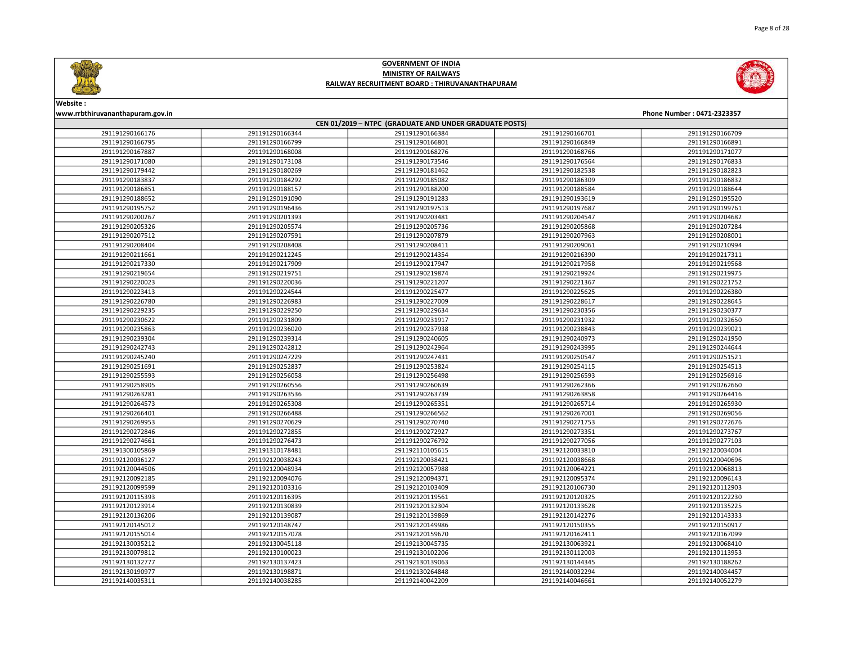



### Website :

| CEN 01/2019 - NTPC (GRADUATE AND UNDER GRADUATE POSTS) |                 |                 |                 |                 |  |
|--------------------------------------------------------|-----------------|-----------------|-----------------|-----------------|--|
| 291191290166176                                        | 291191290166344 | 291191290166384 | 291191290166701 | 291191290166709 |  |
| 291191290166795                                        | 291191290166799 | 291191290166801 | 291191290166849 | 291191290166891 |  |
| 291191290167887                                        | 291191290168008 | 291191290168276 | 291191290168766 | 291191290171077 |  |
| 291191290171080                                        | 291191290173108 | 291191290173546 | 291191290176564 | 291191290176833 |  |
| 291191290179442                                        | 291191290180269 | 291191290181462 | 291191290182538 | 291191290182823 |  |
| 291191290183837                                        | 291191290184292 | 291191290185082 | 291191290186309 | 291191290186832 |  |
| 291191290186851                                        | 291191290188157 | 291191290188200 | 291191290188584 | 291191290188644 |  |
| 291191290188652                                        | 291191290191090 | 291191290191283 | 291191290193619 | 291191290195520 |  |
| 291191290195752                                        | 291191290196436 | 291191290197513 | 291191290197687 | 291191290199761 |  |
| 291191290200267                                        | 291191290201393 | 291191290203481 | 291191290204547 | 291191290204682 |  |
| 291191290205326                                        | 291191290205574 | 291191290205736 | 291191290205868 | 291191290207284 |  |
| 291191290207512                                        | 291191290207591 | 291191290207879 | 291191290207963 | 291191290208001 |  |
| 291191290208404                                        | 291191290208408 | 291191290208411 | 291191290209061 | 291191290210994 |  |
| 291191290211661                                        | 291191290212245 | 291191290214354 | 291191290216390 | 291191290217311 |  |
| 291191290217330                                        | 291191290217909 | 291191290217947 | 291191290217958 | 291191290219568 |  |
| 291191290219654                                        | 291191290219751 | 291191290219874 | 291191290219924 | 291191290219975 |  |
| 291191290220023                                        | 291191290220036 | 291191290221207 | 291191290221367 | 291191290221752 |  |
| 291191290223413                                        | 291191290224544 | 291191290225477 | 291191290225625 | 291191290226380 |  |
| 291191290226780                                        | 291191290226983 | 291191290227009 | 291191290228617 | 291191290228645 |  |
| 291191290229235                                        | 291191290229250 | 291191290229634 | 291191290230356 | 291191290230377 |  |
| 291191290230622                                        | 291191290231809 | 291191290231917 | 291191290231932 | 291191290232650 |  |
| 291191290235863                                        | 291191290236020 | 291191290237938 | 291191290238843 | 291191290239021 |  |
| 291191290239304                                        | 291191290239314 | 291191290240605 | 291191290240973 | 291191290241950 |  |
| 291191290242743                                        | 291191290242812 | 291191290242964 | 291191290243995 | 291191290244644 |  |
| 291191290245240                                        | 291191290247229 | 291191290247431 | 291191290250547 | 291191290251521 |  |
| 291191290251691                                        | 291191290252837 | 291191290253824 | 291191290254115 | 291191290254513 |  |
| 291191290255593                                        | 291191290256058 | 291191290256498 | 291191290256593 | 291191290256916 |  |
| 291191290258905                                        | 291191290260556 | 291191290260639 | 291191290262366 | 291191290262660 |  |
| 291191290263281                                        | 291191290263536 | 291191290263739 | 291191290263858 | 291191290264416 |  |
| 291191290264573                                        | 291191290265308 | 291191290265351 | 291191290265714 | 291191290265930 |  |
| 291191290266401                                        | 291191290266488 | 291191290266562 | 291191290267001 | 291191290269056 |  |
| 291191290269953                                        | 291191290270629 | 291191290270740 | 291191290271753 | 291191290272676 |  |
| 291191290272846                                        | 291191290272855 | 291191290272927 | 291191290273351 | 291191290273767 |  |
| 291191290274661                                        | 291191290276473 | 291191290276792 | 291191290277056 | 291191290277103 |  |
| 291191300105869                                        | 291191310178481 | 291192110105615 | 291192120033810 | 291192120034004 |  |
| 291192120036127                                        | 291192120038243 | 291192120038421 | 291192120038668 | 291192120040696 |  |
| 291192120044506                                        | 291192120048934 | 291192120057988 | 291192120064221 | 291192120068813 |  |
| 291192120092185                                        | 291192120094076 | 291192120094371 | 291192120095374 | 291192120096143 |  |
| 291192120099599                                        | 291192120103316 | 291192120103409 | 291192120106730 | 291192120112903 |  |
| 291192120115393                                        | 291192120116395 | 291192120119561 | 291192120120325 | 291192120122230 |  |
| 291192120123914                                        | 291192120130839 | 291192120132304 | 291192120133628 | 291192120135225 |  |
| 291192120136206                                        | 291192120139087 | 291192120139869 | 291192120142276 | 291192120143333 |  |
| 291192120145012                                        | 291192120148747 | 291192120149986 | 291192120150355 | 291192120150917 |  |
| 291192120155014                                        | 291192120157078 | 291192120159670 | 291192120162411 | 291192120167099 |  |
| 291192130035212                                        | 291192130045118 | 291192130045735 | 291192130063921 | 291192130068410 |  |
| 291192130079812                                        | 291192130100023 | 291192130102206 | 291192130112003 | 291192130113953 |  |
| 291192130132777                                        | 291192130137423 | 291192130139063 | 291192130144345 | 291192130188262 |  |
| 291192130190977                                        | 291192130198871 | 291192130264848 | 291192140032294 | 291192140034457 |  |
| 291192140035311                                        | 291192140038285 | 291192140042209 | 291192140046661 | 291192140052279 |  |
|                                                        |                 |                 |                 |                 |  |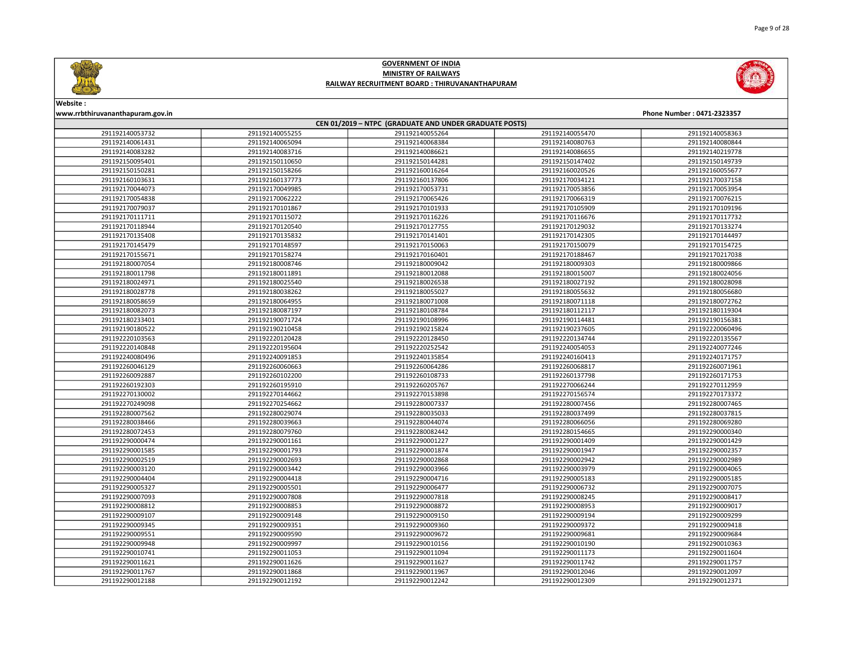

Website :

| www.rrbthiruvananthapuram.gov.in                       |                 |                 |                 | Phone Number: 0471-2323357 |  |
|--------------------------------------------------------|-----------------|-----------------|-----------------|----------------------------|--|
| CEN 01/2019 - NTPC (GRADUATE AND UNDER GRADUATE POSTS) |                 |                 |                 |                            |  |
| 291192140053732                                        | 291192140055255 | 291192140055264 | 291192140055470 | 291192140058363            |  |
| 291192140061431                                        | 291192140065094 | 291192140068384 | 291192140080763 | 291192140080844            |  |
| 291192140083282                                        | 291192140083716 | 291192140086621 | 291192140086655 | 291192140219778            |  |
| 291192150095401                                        | 291192150110650 | 291192150144281 | 291192150147402 | 291192150149739            |  |
| 291192150150281                                        | 291192150158266 | 291192160016264 | 291192160020526 | 291192160055677            |  |
| 291192160103631                                        | 291192160137773 | 291192160137806 | 291192170034121 | 291192170037158            |  |
| 291192170044073                                        | 291192170049985 | 291192170053731 | 291192170053856 | 291192170053954            |  |
| 291192170054838                                        | 291192170062222 | 291192170065426 | 291192170066319 | 291192170076215            |  |
| 291192170079037                                        | 291192170101867 | 291192170101933 | 291192170105909 | 291192170109196            |  |
| 291192170111711                                        | 291192170115072 | 291192170116226 | 291192170116676 | 291192170117732            |  |
| 291192170118944                                        | 291192170120540 | 291192170127755 | 291192170129032 | 291192170133274            |  |
| 291192170135408                                        | 291192170135832 | 291192170141401 | 291192170142305 | 291192170144497            |  |
| 291192170145479                                        | 291192170148597 | 291192170150063 | 291192170150079 | 291192170154725            |  |
| 291192170155671                                        | 291192170158274 | 291192170160401 | 291192170188467 | 291192170217038            |  |
| 291192180007054                                        | 291192180008746 | 291192180009042 | 291192180009303 | 291192180009866            |  |
| 291192180011798                                        | 291192180011891 | 291192180012088 | 291192180015007 | 291192180024056            |  |
| 291192180024971                                        | 291192180025540 | 291192180026538 | 291192180027192 | 291192180028098            |  |
| 291192180028778                                        | 291192180038262 | 291192180055027 | 291192180055632 | 291192180056680            |  |
| 291192180058659                                        | 291192180064955 | 291192180071008 | 291192180071118 | 291192180072762            |  |
| 291192180082073                                        | 291192180087197 | 291192180108784 | 291192180112117 | 291192180119304            |  |
| 291192180233401                                        | 291192190071724 | 291192190108996 | 291192190114481 | 291192190156381            |  |
| 291192190180522                                        | 291192190210458 | 291192190215824 | 291192190237605 | 291192220060496            |  |
| 291192220103563                                        | 291192220120428 | 291192220128450 | 291192220134744 | 291192220135567            |  |
| 291192220140848                                        | 291192220195604 | 291192220252542 | 291192240054053 | 291192240077246            |  |
| 291192240080496                                        | 291192240091853 | 291192240135854 | 291192240160413 | 291192240171757            |  |
| 291192260046129                                        | 291192260060663 | 291192260064286 | 291192260068817 | 291192260071961            |  |
| 291192260092887                                        | 291192260102200 | 291192260108733 | 291192260137798 | 291192260171753            |  |
| 291192260192303                                        | 291192260195910 | 291192260205767 | 291192270066244 | 291192270112959            |  |
| 291192270130002                                        | 291192270144662 | 291192270153898 | 291192270156574 | 291192270173372            |  |
| 291192270249098                                        | 291192270254662 | 291192280007337 | 291192280007456 | 291192280007465            |  |
| 291192280007562                                        | 291192280029074 | 291192280035033 | 291192280037499 | 291192280037815            |  |
| 291192280038466                                        | 291192280039663 | 291192280044074 | 291192280066056 | 291192280069280            |  |
| 291192280072453                                        | 291192280079760 | 291192280082442 | 291192280154665 | 291192290000340            |  |
| 291192290000474                                        | 291192290001161 | 291192290001227 | 291192290001409 | 291192290001429            |  |
| 291192290001585                                        | 291192290001793 | 291192290001874 | 291192290001947 | 291192290002357            |  |
| 291192290002519                                        | 291192290002693 | 291192290002868 | 291192290002942 | 291192290002989            |  |
| 291192290003120                                        | 291192290003442 | 291192290003966 | 291192290003979 | 291192290004065            |  |
| 291192290004404                                        | 291192290004418 | 291192290004716 | 291192290005183 | 291192290005185            |  |
| 291192290005327                                        | 291192290005501 | 291192290006477 | 291192290006732 | 291192290007075            |  |
| 291192290007093                                        | 291192290007808 | 291192290007818 | 291192290008245 | 291192290008417            |  |
| 291192290008812                                        | 291192290008853 | 291192290008872 | 291192290008953 | 291192290009017            |  |
| 291192290009107                                        | 291192290009148 | 291192290009150 | 291192290009194 | 291192290009299            |  |
| 291192290009345                                        | 291192290009351 | 291192290009360 | 291192290009372 | 291192290009418            |  |
| 291192290009551                                        | 291192290009590 | 291192290009672 | 291192290009681 | 291192290009684            |  |
| 291192290009948                                        | 291192290009997 | 291192290010156 | 291192290010190 | 291192290010363            |  |
| 291192290010741                                        | 291192290011053 | 291192290011094 | 291192290011173 | 291192290011604            |  |
| 291192290011621                                        | 291192290011626 | 291192290011627 | 291192290011742 | 291192290011757            |  |
| 291192290011767                                        | 291192290011868 | 291192290011967 | 291192290012046 | 291192290012097            |  |
| 291192290012188                                        | 291192290012192 | 291192290012242 | 291192290012309 | 291192290012371            |  |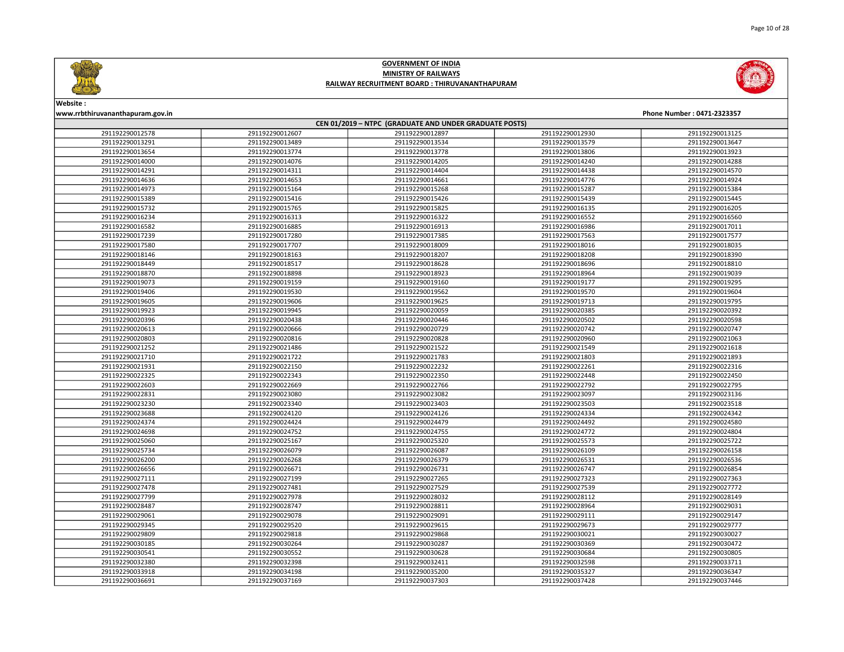





# Website :

| CEN 01/2019 - NTPC (GRADUATE AND UNDER GRADUATE POSTS) |                 |                 |                 |                 |  |
|--------------------------------------------------------|-----------------|-----------------|-----------------|-----------------|--|
| 291192290012578                                        | 291192290012607 | 291192290012897 | 291192290012930 | 291192290013125 |  |
| 291192290013291                                        | 291192290013489 | 291192290013534 | 291192290013579 | 291192290013647 |  |
| 291192290013654                                        | 291192290013774 | 291192290013778 | 291192290013806 | 291192290013923 |  |
| 291192290014000                                        | 291192290014076 | 291192290014205 | 291192290014240 | 291192290014288 |  |
| 291192290014291                                        | 291192290014311 | 291192290014404 | 291192290014438 | 291192290014570 |  |
| 291192290014636                                        | 291192290014653 | 291192290014661 | 291192290014776 | 291192290014924 |  |
| 291192290014973                                        | 291192290015164 | 291192290015268 | 291192290015287 | 291192290015384 |  |
| 291192290015389                                        | 291192290015416 | 291192290015426 | 291192290015439 | 291192290015445 |  |
| 291192290015732                                        | 291192290015765 | 291192290015825 | 291192290016135 | 291192290016205 |  |
| 291192290016234                                        | 291192290016313 | 291192290016322 | 291192290016552 | 291192290016560 |  |
| 291192290016582                                        | 291192290016885 | 291192290016913 | 291192290016986 | 291192290017011 |  |
| 291192290017239                                        | 291192290017280 | 291192290017385 | 291192290017563 | 291192290017577 |  |
| 291192290017580                                        | 291192290017707 | 291192290018009 | 291192290018016 | 291192290018035 |  |
| 291192290018146                                        | 291192290018163 | 291192290018207 | 291192290018208 | 291192290018390 |  |
| 291192290018449                                        | 291192290018517 | 291192290018628 | 291192290018696 | 291192290018810 |  |
| 291192290018870                                        | 291192290018898 | 291192290018923 | 291192290018964 | 291192290019039 |  |
| 291192290019073                                        | 291192290019159 | 291192290019160 | 291192290019177 | 291192290019295 |  |
| 291192290019406                                        | 291192290019530 | 291192290019562 | 291192290019570 | 291192290019604 |  |
| 291192290019605                                        | 291192290019606 | 291192290019625 | 291192290019713 | 291192290019795 |  |
| 291192290019923                                        | 291192290019945 | 291192290020059 | 291192290020385 | 291192290020392 |  |
| 291192290020396                                        | 291192290020438 | 291192290020446 | 291192290020502 | 291192290020598 |  |
| 291192290020613                                        | 291192290020666 | 291192290020729 | 291192290020742 | 291192290020747 |  |
| 291192290020803                                        | 291192290020816 | 291192290020828 | 291192290020960 | 291192290021063 |  |
| 291192290021252                                        | 291192290021486 | 291192290021522 | 291192290021549 | 291192290021618 |  |
| 291192290021710                                        | 291192290021722 | 291192290021783 | 291192290021803 | 291192290021893 |  |
| 291192290021931                                        | 291192290022150 | 291192290022232 | 291192290022261 | 291192290022316 |  |
| 291192290022325                                        | 291192290022343 | 291192290022350 | 291192290022448 | 291192290022450 |  |
| 291192290022603                                        | 291192290022669 | 291192290022766 | 291192290022792 | 291192290022795 |  |
| 291192290022831                                        | 291192290023080 | 291192290023082 | 291192290023097 | 291192290023136 |  |
| 291192290023230                                        | 291192290023340 | 291192290023403 | 291192290023503 | 291192290023518 |  |
| 291192290023688                                        | 291192290024120 | 291192290024126 | 291192290024334 | 291192290024342 |  |
| 291192290024374                                        | 291192290024424 | 291192290024479 | 291192290024492 | 291192290024580 |  |
| 291192290024698                                        | 291192290024752 | 291192290024755 | 291192290024772 | 291192290024804 |  |
| 291192290025060                                        | 291192290025167 | 291192290025320 | 291192290025573 | 291192290025722 |  |
| 291192290025734                                        | 291192290026079 | 291192290026087 | 291192290026109 | 291192290026158 |  |
| 291192290026200                                        | 291192290026268 | 291192290026379 | 291192290026531 | 291192290026536 |  |
| 291192290026656                                        | 291192290026671 | 291192290026731 | 291192290026747 | 291192290026854 |  |
| 291192290027111                                        | 291192290027199 | 291192290027265 | 291192290027323 | 291192290027363 |  |
| 291192290027478                                        | 291192290027481 | 291192290027529 | 291192290027539 | 291192290027772 |  |
| 291192290027799                                        | 291192290027978 | 291192290028032 | 291192290028112 | 291192290028149 |  |
| 291192290028487                                        | 291192290028747 | 291192290028811 | 291192290028964 | 291192290029031 |  |
| 291192290029061                                        | 291192290029078 | 291192290029091 | 291192290029111 | 291192290029147 |  |
| 291192290029345                                        | 291192290029520 | 291192290029615 | 291192290029673 | 291192290029777 |  |
| 291192290029809                                        | 291192290029818 | 291192290029868 | 291192290030021 | 291192290030027 |  |
| 291192290030185                                        | 291192290030264 | 291192290030287 | 291192290030369 | 291192290030472 |  |
| 291192290030541                                        | 291192290030552 | 291192290030628 | 291192290030684 | 291192290030805 |  |
| 291192290032380                                        | 291192290032398 | 291192290032411 | 291192290032598 | 291192290033711 |  |
| 291192290033918                                        | 291192290034198 | 291192290035200 | 291192290035327 | 291192290036347 |  |
| 291192290036691                                        | 291192290037169 | 291192290037303 | 291192290037428 | 291192290037446 |  |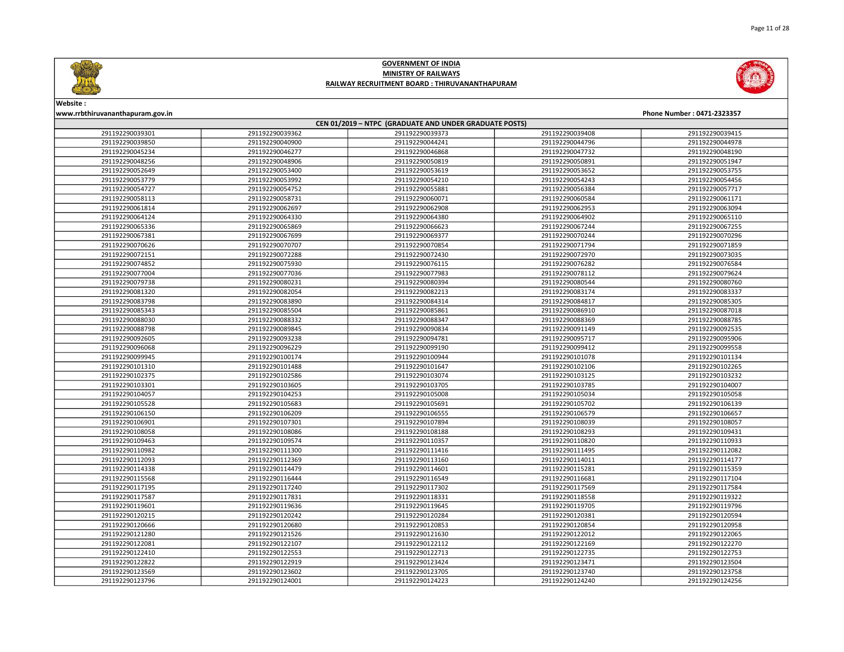

Page 11 of 28

### GOVERNMENT OF INDIA MINISTRY OF RAILWAYS RAILWAY RECRUITMENT BOARD : THIRUVANANTHAPURAM



| CEN 01/2019 - NTPC (GRADUATE AND UNDER GRADUATE POSTS) |                 |                 |                 |                 |
|--------------------------------------------------------|-----------------|-----------------|-----------------|-----------------|
| 291192290039301                                        | 291192290039362 | 291192290039373 | 291192290039408 | 291192290039415 |
| 291192290039850                                        | 291192290040900 | 291192290044241 | 291192290044796 | 291192290044978 |
| 291192290045234                                        | 291192290046277 | 291192290046868 | 291192290047732 | 291192290048190 |
| 291192290048256                                        | 291192290048906 | 291192290050819 | 291192290050891 | 291192290051947 |
| 291192290052649                                        | 291192290053400 | 291192290053619 | 291192290053652 | 291192290053755 |
| 291192290053779                                        | 291192290053992 | 291192290054210 | 291192290054243 | 291192290054456 |
| 291192290054727                                        | 291192290054752 | 291192290055881 | 291192290056384 | 291192290057717 |
| 291192290058113                                        | 291192290058731 | 291192290060071 | 291192290060584 | 291192290061171 |
| 291192290061814                                        | 291192290062697 | 291192290062908 | 291192290062953 | 291192290063094 |
| 291192290064124                                        | 291192290064330 | 291192290064380 | 291192290064902 | 291192290065110 |
| 291192290065336                                        | 291192290065869 | 291192290066623 | 291192290067244 | 291192290067255 |
| 291192290067381                                        | 291192290067699 | 291192290069377 | 291192290070244 | 291192290070296 |
| 291192290070626                                        | 291192290070707 | 291192290070854 | 291192290071794 | 291192290071859 |
| 291192290072151                                        | 291192290072288 | 291192290072430 | 291192290072970 | 291192290073035 |
| 291192290074852                                        | 291192290075930 | 291192290076115 | 291192290076282 | 291192290076584 |
| 291192290077004                                        | 291192290077036 | 291192290077983 | 291192290078112 | 291192290079624 |
| 291192290079738                                        | 291192290080231 | 291192290080394 | 291192290080544 | 291192290080760 |
| 291192290081320                                        | 291192290082054 | 291192290082213 | 291192290083174 | 291192290083337 |
| 291192290083798                                        | 291192290083890 | 291192290084314 | 291192290084817 | 291192290085305 |
| 291192290085343                                        | 291192290085504 | 291192290085861 | 291192290086910 | 291192290087018 |
| 291192290088030                                        | 291192290088332 | 291192290088347 | 291192290088369 | 291192290088785 |
| 291192290088798                                        | 291192290089845 | 291192290090834 | 291192290091149 | 291192290092535 |
| 291192290092605                                        | 291192290093238 | 291192290094781 | 291192290095717 | 291192290095906 |
| 291192290096068                                        | 291192290096229 | 291192290099190 | 291192290099412 | 291192290099558 |
| 291192290099945                                        | 291192290100174 | 291192290100944 | 291192290101078 | 291192290101134 |
| 291192290101310                                        | 291192290101488 | 291192290101647 | 291192290102106 | 291192290102265 |
| 291192290102375                                        | 291192290102586 | 291192290103074 | 291192290103125 | 291192290103232 |
| 291192290103301                                        | 291192290103605 | 291192290103705 | 291192290103785 | 291192290104007 |
| 291192290104057                                        | 291192290104253 | 291192290105008 | 291192290105034 | 291192290105058 |
| 291192290105528                                        | 291192290105683 | 291192290105691 | 291192290105702 | 291192290106139 |
| 291192290106150                                        | 291192290106209 | 291192290106555 | 291192290106579 | 291192290106657 |
| 291192290106901                                        | 291192290107301 | 291192290107894 | 291192290108039 | 291192290108057 |
| 291192290108058                                        | 291192290108086 | 291192290108188 | 291192290108293 | 291192290109431 |
| 291192290109463                                        | 291192290109574 | 291192290110357 | 291192290110820 | 291192290110933 |
| 291192290110982                                        | 291192290111300 | 291192290111416 | 291192290111495 | 291192290112082 |
| 291192290112093                                        | 291192290112369 | 291192290113160 | 291192290114011 | 291192290114177 |
| 291192290114338                                        | 291192290114479 | 291192290114601 | 291192290115281 | 291192290115359 |
| 291192290115568                                        | 291192290116444 | 291192290116549 | 291192290116681 | 291192290117104 |
| 291192290117195                                        | 291192290117240 | 291192290117302 | 291192290117569 | 291192290117584 |
| 291192290117587                                        | 291192290117831 | 291192290118331 | 291192290118558 | 291192290119322 |
| 291192290119601                                        | 291192290119636 | 291192290119645 | 291192290119705 | 291192290119796 |
| 291192290120215                                        | 291192290120242 | 291192290120284 | 291192290120381 | 291192290120594 |
| 291192290120666                                        | 291192290120680 | 291192290120853 | 291192290120854 | 291192290120958 |
| 291192290121280                                        | 291192290121526 | 291192290121630 | 291192290122012 | 291192290122065 |
| 291192290122081                                        | 291192290122107 | 291192290122112 | 291192290122169 | 291192290122270 |
| 291192290122410                                        | 291192290122553 | 291192290122713 | 291192290122735 | 291192290122753 |
| 291192290122822                                        | 291192290122919 | 291192290123424 | 291192290123471 | 291192290123504 |
| 291192290123569                                        | 291192290123602 | 291192290123705 | 291192290123740 | 291192290123758 |
| 291192290123796                                        | 291192290124001 | 291192290124223 | 291192290124240 | 291192290124256 |

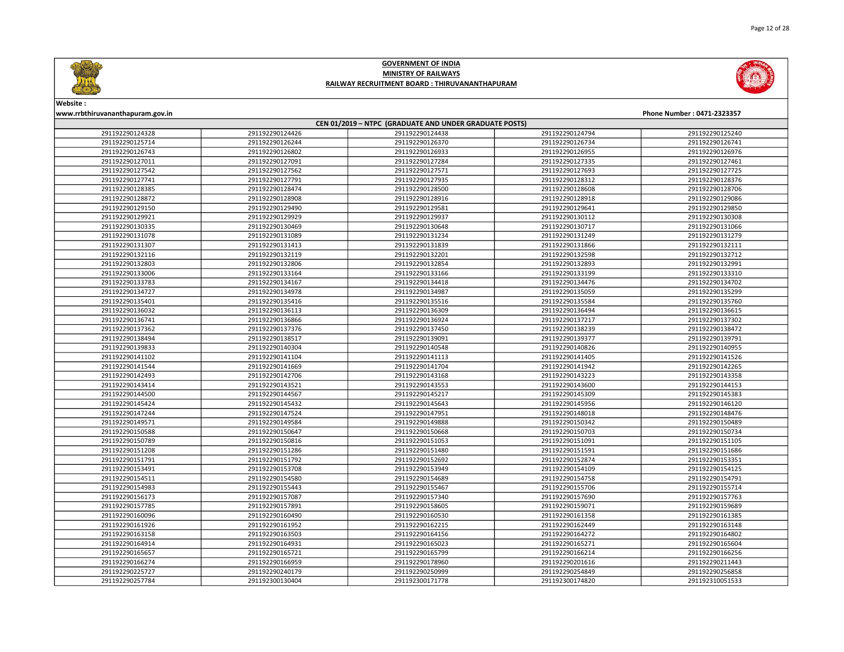



# Website :

### www.rrbthiruvananthapuram.gov.in Phone Number : 0471-2323357 CEN 01/2019 – NTPC (GRADUATE AND UNDER GRADUATE POSTS) 291192290124426 291192290124438 291192290124794 291192290125240 291192290126244 291192290126370 291192290126734 291192290126741 291192290126802 291192290126933 291192290126955 291192290126976 291192290127091 291192290127284 291192290127335 291192290127461 291192290127562 291192290127571 291192290127693 291192290127725 291192290127791 291192290127935 291192290128312 291192290128376 291192290128474 291192290128500 291192290128608 291192290128706 291192290128908 291192290128916 291192290128918 291192290129086 291192290129490 291192290129581 291192290129641 291192290129850 291192290129929 291192290129937 291192290130112 291192290130308 291192290130469 291192290130648 291192290130717 291192290131066 291192290131089 291192290131234 291192290131249 291192290131279 291192290131413 291192290131839 291192290131866 291192290132111 291192290132119 291192290132201 291192290132598 291192290132712 291192290132806 291192290132854 291192290132893 291192290132991 291192290133164 291192290133166 291192290133199 291192290133310 291192290134167 291192290134418 291192290134476 291192290134702 291192290134978 291192290134987 291192290135059 291192290135299 291192290135416 291192290135516 291192290135584 291192290135760 291192290136113 291192290136309 291192290136494 291192290136615 291192290136866 291192290136924 291192290137217 291192290137302 291192290137376 291192290137450 291192290138239 291192290138472 291192290138517 291192290139091 291192290139377 291192290139791 291192290140304 291192290140548 291192290140826 291192290140955 291192290141104 291192290141113 291192290141405 291192290141526 291192290141669 291192290141704 291192290141942 291192290142265 291192290142706 291192290143168 291192290143223 291192290143358 291192290143521 291192290143553 291192290143600 291192290144153 291192290144567 291192290145217 291192290145309 291192290145383 291192290145432 291192290145643 291192290145956 291192290146120 291192290147524 291192290147951 291192290148018 291192290148476 291192290149584 291192290149888 291192290150342 291192290150489 291192290150647 291192290150668 291192290150703 291192290150734 291192290150816 291192290151053 291192290151091 291192290151105 291192290151286 291192290151480 291192290151591 291192290151686 291192290151792 291192290152692 291192290152874 291192290153351 291192290153708 291192290153949 291192290154109 291192290154125 291192290154580 291192290154689 291192290154758 291192290154791 291192290155443 291192290155467 291192290155706 291192290155714 291192290157087 291192290157340 291192290157690 291192290157763 291192290157891 291192290158605 291192290159071 291192290159689 291192290160490 291192290160530 291192290161358 291192290161385 291192290161952 291192290162215 291192290162449 291192290163148 291192290163503 291192290164156 291192290164272 291192290164802 291192290164931 291192290165023 291192290165271 291192290165604 291192290165721 291192290165799 291192290166214 291192290166256 291192290166959 291192290178960 291192290201616 291192290211443 291192290240179 291192290250999 291192290254849 291192290256858 291192300130404 291192300171778 291192300174820 291192310051533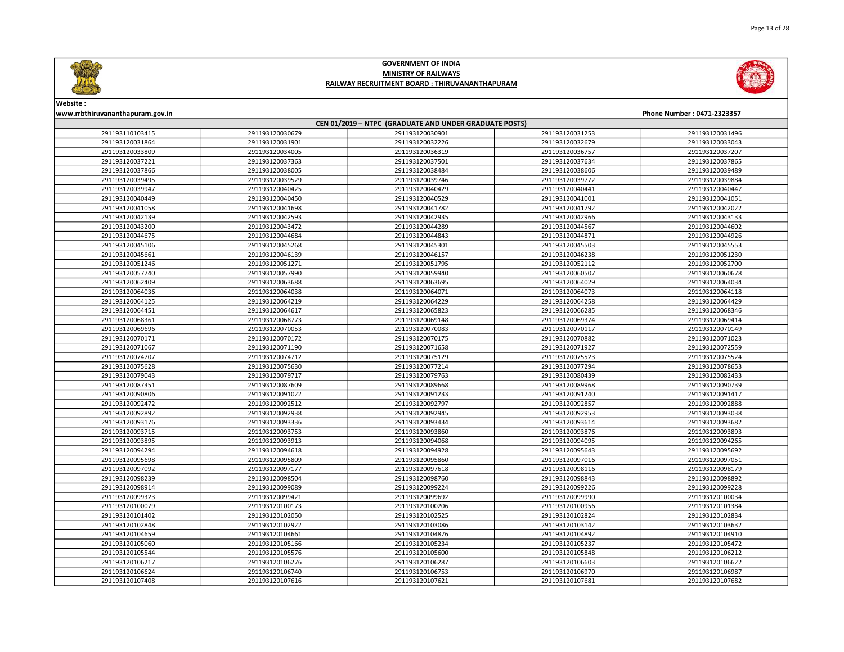

Page 13 of 28

### GOVERNMENT OF INDIA MINISTRY OF RAILWAYS RAILWAY RECRUITMENT BOARD : THIRUVANANTHAPURAM



| CEN 01/2019 - NTPC (GRADUATE AND UNDER GRADUATE POSTS) |                 |                 |                 |                 |  |
|--------------------------------------------------------|-----------------|-----------------|-----------------|-----------------|--|
| 291193110103415                                        | 291193120030679 | 291193120030901 | 291193120031253 | 291193120031496 |  |
| 291193120031864                                        | 291193120031901 | 291193120032226 | 291193120032679 | 291193120033043 |  |
| 291193120033809                                        | 291193120034005 | 291193120036319 | 291193120036757 | 291193120037207 |  |
| 291193120037221                                        | 291193120037363 | 291193120037501 | 291193120037634 | 291193120037865 |  |
| 291193120037866                                        | 291193120038005 | 291193120038484 | 291193120038606 | 291193120039489 |  |
| 291193120039495                                        | 291193120039529 | 291193120039746 | 291193120039772 | 291193120039884 |  |
| 291193120039947                                        | 291193120040425 | 291193120040429 | 291193120040441 | 291193120040447 |  |
| 291193120040449                                        | 291193120040450 | 291193120040529 | 291193120041001 | 291193120041051 |  |
| 291193120041058                                        | 291193120041698 | 291193120041782 | 291193120041792 | 291193120042022 |  |
| 291193120042139                                        | 291193120042593 | 291193120042935 | 291193120042966 | 291193120043133 |  |
| 291193120043200                                        | 291193120043472 | 291193120044289 | 291193120044567 | 291193120044602 |  |
| 291193120044675                                        | 291193120044684 | 291193120044843 | 291193120044871 | 291193120044926 |  |
| 291193120045106                                        | 291193120045268 | 291193120045301 | 291193120045503 | 291193120045553 |  |
| 291193120045661                                        | 291193120046139 | 291193120046157 | 291193120046238 | 291193120051230 |  |
| 291193120051246                                        | 291193120051271 | 291193120051795 | 291193120052112 | 291193120052700 |  |
| 291193120057740                                        | 291193120057990 | 291193120059940 | 291193120060507 | 291193120060678 |  |
| 291193120062409                                        | 291193120063688 | 291193120063695 | 291193120064029 | 291193120064034 |  |
| 291193120064036                                        | 291193120064038 | 291193120064071 | 291193120064073 | 291193120064118 |  |
| 291193120064125                                        | 291193120064219 | 291193120064229 | 291193120064258 | 291193120064429 |  |
| 291193120064451                                        | 291193120064617 | 291193120065823 | 291193120066285 | 291193120068346 |  |
| 291193120068361                                        | 291193120068773 | 291193120069148 | 291193120069374 | 291193120069414 |  |
| 291193120069696                                        | 291193120070053 | 291193120070083 | 291193120070117 | 291193120070149 |  |
| 291193120070171                                        | 291193120070172 | 291193120070175 | 291193120070882 | 291193120071023 |  |
| 291193120071067                                        | 291193120071190 | 291193120071658 | 291193120071927 | 291193120072559 |  |
| 291193120074707                                        | 291193120074712 | 291193120075129 | 291193120075523 | 291193120075524 |  |
| 291193120075628                                        | 291193120075630 | 291193120077214 | 291193120077294 | 291193120078653 |  |
| 291193120079043                                        | 291193120079717 | 291193120079763 | 291193120080439 | 291193120082433 |  |
| 291193120087351                                        | 291193120087609 | 291193120089668 | 291193120089968 | 291193120090739 |  |
| 291193120090806                                        | 291193120091022 | 291193120091233 | 291193120091240 | 291193120091417 |  |
| 291193120092472                                        | 291193120092512 | 291193120092797 | 291193120092857 | 291193120092888 |  |
| 291193120092892                                        | 291193120092938 | 291193120092945 | 291193120092953 | 291193120093038 |  |
| 291193120093176                                        | 291193120093336 | 291193120093434 | 291193120093614 | 291193120093682 |  |
| 291193120093715                                        | 291193120093753 | 291193120093860 | 291193120093876 | 291193120093893 |  |
| 291193120093895                                        | 291193120093913 | 291193120094068 | 291193120094095 | 291193120094265 |  |
| 291193120094294                                        | 291193120094618 | 291193120094928 | 291193120095643 | 291193120095692 |  |
| 291193120095698                                        | 291193120095809 | 291193120095860 | 291193120097016 | 291193120097051 |  |
| 291193120097092                                        | 291193120097177 | 291193120097618 | 291193120098116 | 291193120098179 |  |
| 291193120098239                                        | 291193120098504 | 291193120098760 | 291193120098843 | 291193120098892 |  |
| 291193120098914                                        | 291193120099089 | 291193120099224 | 291193120099226 | 291193120099228 |  |
| 291193120099323                                        | 291193120099421 | 291193120099692 | 291193120099990 | 291193120100034 |  |
| 291193120100079                                        | 291193120100173 | 291193120100206 | 291193120100956 | 291193120101384 |  |
| 291193120101402                                        | 291193120102050 | 291193120102525 | 291193120102824 | 291193120102834 |  |
| 291193120102848                                        | 291193120102922 | 291193120103086 | 291193120103142 | 291193120103632 |  |
| 291193120104659                                        | 291193120104661 | 291193120104876 | 291193120104892 | 291193120104910 |  |
| 291193120105060                                        | 291193120105166 | 291193120105234 | 291193120105237 | 291193120105472 |  |
| 291193120105544                                        | 291193120105576 | 291193120105600 | 291193120105848 | 291193120106212 |  |
| 291193120106217                                        | 291193120106276 | 291193120106287 | 291193120106603 | 291193120106622 |  |
| 291193120106624                                        | 291193120106740 | 291193120106753 | 291193120106970 | 291193120106987 |  |
| 291193120107408                                        | 291193120107616 | 291193120107621 | 291193120107681 | 291193120107682 |  |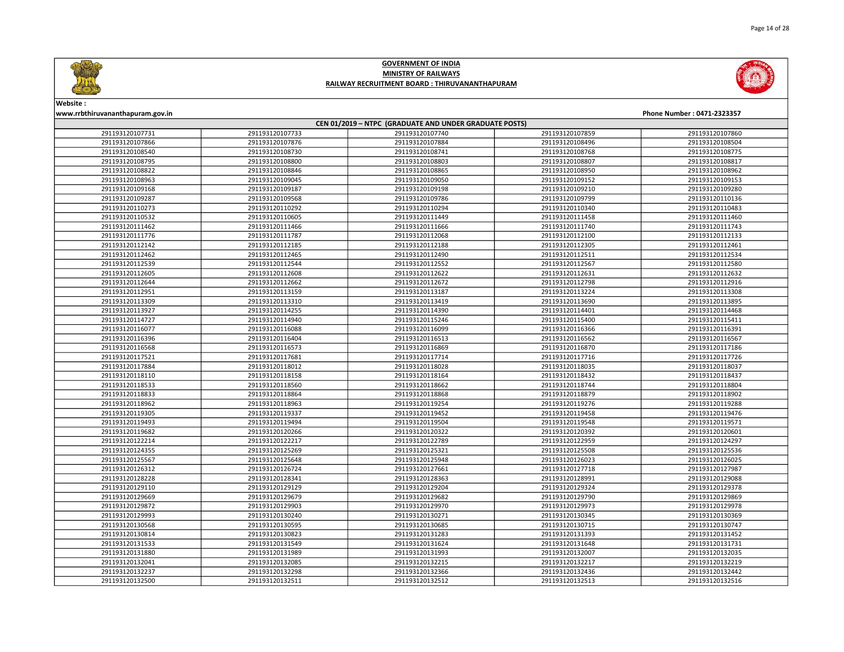

Page 14 of 28

### GOVERNMENT OF INDIA MINISTRY OF RAILWAYS RAILWAY RECRUITMENT BOARD : THIRUVANANTHAPURAM



# Website :

| www.rrbthiruvananthapuram.gov.in<br>Phone Number: 0471-2323357 |                 |                 |                 |                 |  |
|----------------------------------------------------------------|-----------------|-----------------|-----------------|-----------------|--|
| CEN 01/2019 - NTPC (GRADUATE AND UNDER GRADUATE POSTS)         |                 |                 |                 |                 |  |
| 291193120107731                                                | 291193120107733 | 291193120107740 | 291193120107859 | 291193120107860 |  |
| 291193120107866                                                | 291193120107876 | 291193120107884 | 291193120108496 | 291193120108504 |  |
| 291193120108540                                                | 291193120108730 | 291193120108741 | 291193120108768 | 291193120108775 |  |
| 291193120108795                                                | 291193120108800 | 291193120108803 | 291193120108807 | 291193120108817 |  |
| 291193120108822                                                | 291193120108846 | 291193120108865 | 291193120108950 | 291193120108962 |  |
| 291193120108963                                                | 291193120109045 | 291193120109050 | 291193120109152 | 291193120109153 |  |
| 291193120109168                                                | 291193120109187 | 291193120109198 | 291193120109210 | 291193120109280 |  |
| 291193120109287                                                | 291193120109568 | 291193120109786 | 291193120109799 | 291193120110136 |  |
| 291193120110273                                                | 291193120110292 | 291193120110294 | 291193120110340 | 291193120110483 |  |
| 291193120110532                                                | 291193120110605 | 291193120111449 | 291193120111458 | 291193120111460 |  |
| 291193120111462                                                | 291193120111466 | 291193120111666 | 291193120111740 | 291193120111743 |  |
| 291193120111776                                                | 291193120111787 | 291193120112068 | 291193120112100 | 291193120112133 |  |
| 291193120112142                                                | 291193120112185 | 291193120112188 | 291193120112305 | 291193120112461 |  |
| 291193120112462                                                | 291193120112465 | 291193120112490 | 291193120112511 | 291193120112534 |  |
| 291193120112539                                                | 291193120112544 | 291193120112552 | 291193120112567 | 291193120112580 |  |
| 291193120112605                                                | 291193120112608 | 291193120112622 | 291193120112631 | 291193120112632 |  |
| 291193120112644                                                | 291193120112662 | 291193120112672 | 291193120112798 | 291193120112916 |  |
| 291193120112951                                                | 291193120113159 | 291193120113187 | 291193120113224 | 291193120113308 |  |
| 291193120113309                                                | 291193120113310 | 291193120113419 | 291193120113690 | 291193120113895 |  |
| 291193120113927                                                | 291193120114255 | 291193120114390 | 291193120114401 | 291193120114468 |  |
| 291193120114727                                                | 291193120114940 | 291193120115246 | 291193120115400 | 291193120115411 |  |
| 291193120116077                                                | 291193120116088 | 291193120116099 | 291193120116366 | 291193120116391 |  |
| 291193120116396                                                | 291193120116404 | 291193120116513 | 291193120116562 | 291193120116567 |  |
| 291193120116568                                                | 291193120116573 | 291193120116869 | 291193120116870 | 291193120117186 |  |
| 291193120117521                                                | 291193120117681 | 291193120117714 | 291193120117716 | 291193120117726 |  |
| 291193120117884                                                | 291193120118012 | 291193120118028 | 291193120118035 | 291193120118037 |  |
| 291193120118110                                                | 291193120118158 | 291193120118164 | 291193120118432 | 291193120118437 |  |
| 291193120118533                                                | 291193120118560 | 291193120118662 | 291193120118744 | 291193120118804 |  |
| 291193120118833                                                | 291193120118864 | 291193120118868 | 291193120118879 | 291193120118902 |  |
| 291193120118962                                                | 291193120118963 | 291193120119254 | 291193120119276 | 291193120119288 |  |
| 291193120119305                                                | 291193120119337 | 291193120119452 | 291193120119458 | 291193120119476 |  |
| 291193120119493                                                | 291193120119494 | 291193120119504 | 291193120119548 | 291193120119571 |  |
| 291193120119682                                                | 291193120120266 | 291193120120322 | 291193120120392 | 291193120120601 |  |
| 291193120122214                                                | 291193120122217 | 291193120122789 | 291193120122959 | 291193120124297 |  |
| 291193120124355                                                | 291193120125269 | 291193120125321 | 291193120125508 | 291193120125536 |  |
| 291193120125567                                                | 291193120125648 | 291193120125948 | 291193120126023 | 291193120126025 |  |
| 291193120126312                                                | 291193120126724 | 291193120127661 | 291193120127718 | 291193120127987 |  |
| 291193120128228                                                | 291193120128341 | 291193120128363 | 291193120128991 | 291193120129088 |  |
| 291193120129110                                                | 291193120129129 | 291193120129204 | 291193120129324 | 291193120129378 |  |
| 291193120129669                                                | 291193120129679 | 291193120129682 | 291193120129790 | 291193120129869 |  |
| 291193120129872                                                | 291193120129903 | 291193120129970 | 291193120129973 | 291193120129978 |  |
| 291193120129993                                                | 291193120130240 | 291193120130271 | 291193120130345 | 291193120130369 |  |
| 291193120130568                                                | 291193120130595 | 291193120130685 | 291193120130715 | 291193120130747 |  |
| 291193120130814                                                | 291193120130823 | 291193120131283 | 291193120131393 | 291193120131452 |  |
| 291193120131533                                                | 291193120131549 | 291193120131624 | 291193120131648 | 291193120131731 |  |
| 291193120131880                                                | 291193120131989 | 291193120131993 | 291193120132007 | 291193120132035 |  |
| 291193120132041                                                | 291193120132085 | 291193120132215 | 291193120132217 | 291193120132219 |  |
| 291193120132237                                                | 291193120132298 | 291193120132366 | 291193120132436 | 291193120132442 |  |
| 291193120132500                                                | 291193120132511 | 291193120132512 | 291193120132513 | 291193120132516 |  |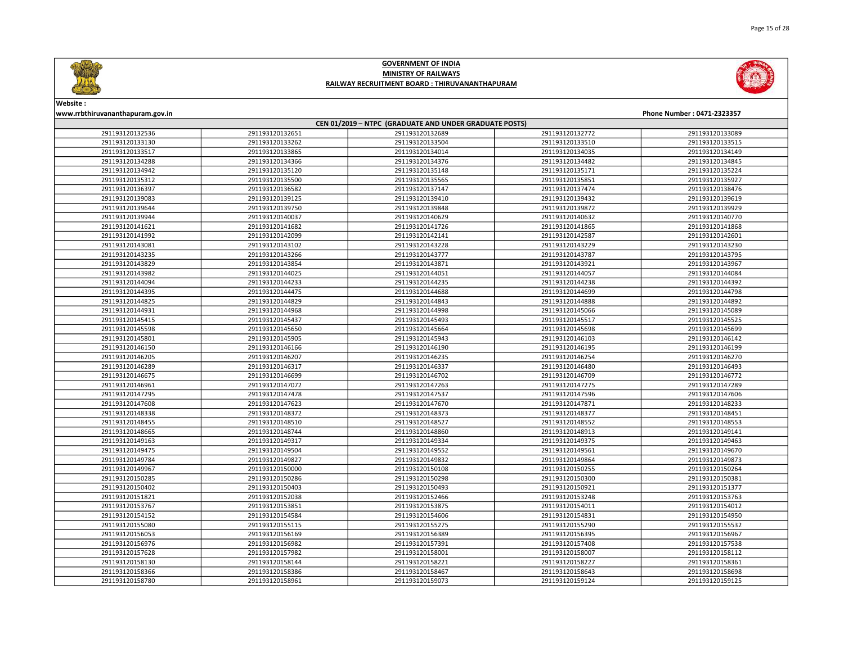



Website :

### www.rrbthiruvananthapuram.gov.in Phone Number : 0471-2323357 CEN 01/2019 – NTPC (GRADUATE AND UNDER GRADUATE POSTS) 291193120132651 291193120132689 291193120132772 291193120133089 291193120133262 291193120133504 291193120133510 291193120133515 291193120133865 291193120134014 291193120134035 291193120134149 291193120134366 291193120134376 291193120134482 291193120134845 291193120135120 291193120135148 291193120135171 291193120135224 291193120135500 291193120135565 291193120135851 291193120135927 291193120136582 291193120137147 291193120137474 291193120138476 291193120139125 291193120139410 291193120139432 291193120139619 291193120139750 291193120139848 291193120139872 291193120139929 291193120140037 291193120140629 291193120140632 291193120140770 291193120141682 291193120141726 291193120141865 291193120141868 291193120142099 291193120142141 291193120142587 291193120142601 291193120143102 291193120143228 291193120143229 291193120143230 291193120143266 291193120143777 291193120143787 291193120143795 291193120143854 291193120143871 291193120143921 291193120143967 291193120144025 291193120144051 291193120144057 291193120144084 291193120144233 291193120144235 291193120144238 291193120144392 291193120144475 291193120144688 291193120144699 291193120144798 291193120144829 291193120144843 291193120144888 291193120144892 291193120144968 291193120144998 291193120145066 291193120145089 291193120145437 291193120145493 291193120145517 291193120145525 291193120145650 291193120145664 291193120145698 291193120145699 291193120145905 291193120145943 291193120146103 291193120146142 291193120146166 291193120146190 291193120146195 291193120146199 291193120146207 291193120146235 291193120146254 291193120146270 291193120146317 291193120146337 291193120146480 291193120146493 291193120146699 291193120146702 291193120146709 291193120146772 291193120147072 291193120147263 291193120147275 291193120147289 291193120147478 291193120147537 291193120147596 291193120147606 291193120147623 291193120147670 291193120147871 291193120148233 291193120148372 291193120148373 291193120148377 291193120148451 291193120148510 291193120148527 291193120148552 291193120148553 291193120148744 291193120148860 291193120148913 291193120149141 291193120149317 291193120149334 291193120149375 291193120149463 291193120149504 291193120149552 291193120149561 291193120149670 291193120149827 291193120149832 291193120149864 291193120149873 291193120150000 291193120150108 291193120150255 291193120150264 291193120150286 291193120150298 291193120150300 291193120150381 291193120150403 291193120150493 291193120150921 291193120151377 291193120152038 291193120152466 291193120153248 291193120153763 291193120153851 291193120153875 291193120154011 291193120154012 291193120154584 291193120154606 291193120154831 291193120154950 291193120155115 291193120155275 291193120155290 291193120155532 291193120156169 291193120156389 291193120156395 291193120156967 291193120156982 291193120157391 291193120157408 291193120157538 291193120157982 291193120158001 291193120158007 291193120158112 291193120158144 291193120158221 291193120158227 291193120158361 291193120158386 291193120158467 291193120158643 291193120158698 291193120158961 291193120159073 291193120159124 291193120159125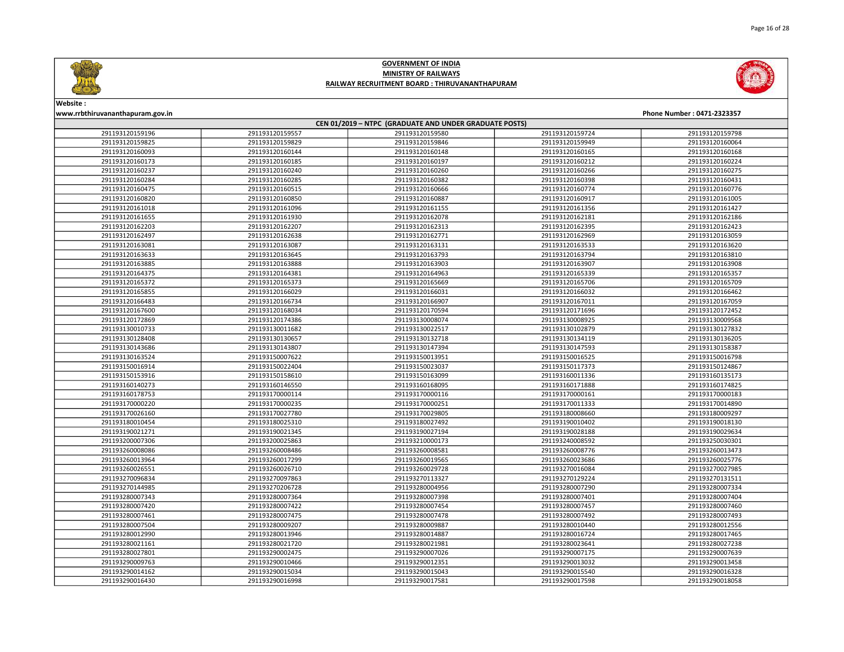



| CEN 01/2019 - NTPC (GRADUATE AND UNDER GRADUATE POSTS) |                 |                 |                 |                 |  |
|--------------------------------------------------------|-----------------|-----------------|-----------------|-----------------|--|
| 291193120159196                                        | 291193120159557 | 291193120159580 | 291193120159724 | 291193120159798 |  |
| 291193120159825                                        | 291193120159829 | 291193120159846 | 291193120159949 | 291193120160064 |  |
| 291193120160093                                        | 291193120160144 | 291193120160148 | 291193120160165 | 291193120160168 |  |
| 291193120160173                                        | 291193120160185 | 291193120160197 | 291193120160212 | 291193120160224 |  |
| 291193120160237                                        | 291193120160240 | 291193120160260 | 291193120160266 | 291193120160275 |  |
| 291193120160284                                        | 291193120160285 | 291193120160382 | 291193120160398 | 291193120160431 |  |
| 291193120160475                                        | 291193120160515 | 291193120160666 | 291193120160774 | 291193120160776 |  |
| 291193120160820                                        | 291193120160850 | 291193120160887 | 291193120160917 | 291193120161005 |  |
| 291193120161018                                        | 291193120161096 | 291193120161155 | 291193120161356 | 291193120161427 |  |
| 291193120161655                                        | 291193120161930 | 291193120162078 | 291193120162181 | 291193120162186 |  |
| 291193120162203                                        | 291193120162207 | 291193120162313 | 291193120162395 | 291193120162423 |  |
| 291193120162497                                        | 291193120162638 | 291193120162771 | 291193120162969 | 291193120163059 |  |
| 291193120163081                                        | 291193120163087 | 291193120163131 | 291193120163533 | 291193120163620 |  |
| 291193120163633                                        | 291193120163645 | 291193120163793 | 291193120163794 | 291193120163810 |  |
| 291193120163885                                        | 291193120163888 | 291193120163903 | 291193120163907 | 291193120163908 |  |
| 291193120164375                                        | 291193120164381 | 291193120164963 | 291193120165339 | 291193120165357 |  |
| 291193120165372                                        | 291193120165373 | 291193120165669 | 291193120165706 | 291193120165709 |  |
| 291193120165855                                        | 291193120166029 | 291193120166031 | 291193120166032 | 291193120166462 |  |
| 291193120166483                                        | 291193120166734 | 291193120166907 | 291193120167011 | 291193120167059 |  |
| 291193120167600                                        | 291193120168034 | 291193120170594 | 291193120171696 | 291193120172452 |  |
| 291193120172869                                        | 291193120174386 | 291193130008074 | 291193130008925 | 291193130009568 |  |
| 291193130010733                                        | 291193130011682 | 291193130022517 | 291193130102879 | 291193130127832 |  |
| 291193130128408                                        | 291193130130657 | 291193130132718 | 291193130134119 | 291193130136205 |  |
| 291193130143686                                        | 291193130143807 | 291193130147394 | 291193130147593 | 291193130158387 |  |
| 291193130163524                                        | 291193150007622 | 291193150013951 | 291193150016525 | 291193150016798 |  |
| 291193150016914                                        | 291193150022404 | 291193150023037 | 291193150117373 | 291193150124867 |  |
| 291193150153916                                        | 291193150158610 | 291193150163099 | 291193160011336 | 291193160135173 |  |
| 291193160140273                                        | 291193160146550 | 291193160168095 | 291193160171888 | 291193160174825 |  |
| 291193160178753                                        | 291193170000114 | 291193170000116 | 291193170000161 | 291193170000183 |  |
| 291193170000220                                        | 291193170000235 | 291193170000251 | 291193170011333 | 291193170014890 |  |
| 291193170026160                                        | 291193170027780 | 291193170029805 | 291193180008660 | 291193180009297 |  |
| 291193180010454                                        | 291193180025310 | 291193180027492 | 291193190010402 | 291193190018130 |  |
| 291193190021271                                        | 291193190021345 | 291193190027194 | 291193190028188 | 291193190029634 |  |
| 291193200007306                                        | 291193200025863 | 291193210000173 | 291193240008592 | 291193250030301 |  |
| 291193260008086                                        | 291193260008486 | 291193260008581 | 291193260008776 | 291193260013473 |  |
| 291193260013964                                        | 291193260017299 | 291193260019565 | 291193260023686 | 291193260025776 |  |
| 291193260026551                                        | 291193260026710 | 291193260029728 | 291193270016084 | 291193270027985 |  |
| 291193270096834                                        | 291193270097863 | 291193270113327 | 291193270129224 | 291193270131511 |  |
| 291193270144985                                        | 291193270206728 | 291193280004956 | 291193280007290 | 291193280007334 |  |
| 291193280007343                                        | 291193280007364 | 291193280007398 | 291193280007401 | 291193280007404 |  |
| 291193280007420                                        | 291193280007422 | 291193280007454 | 291193280007457 | 291193280007460 |  |
| 291193280007461                                        | 291193280007475 | 291193280007478 | 291193280007492 | 291193280007493 |  |
| 291193280007504                                        | 291193280009207 | 291193280009887 | 291193280010440 | 291193280012556 |  |
| 291193280012990                                        | 291193280013946 | 291193280014887 | 291193280016724 | 291193280017465 |  |
| 291193280021161                                        | 291193280021720 | 291193280021981 | 291193280023641 | 291193280027238 |  |
| 291193280027801                                        | 291193290002475 | 291193290007026 | 291193290007175 | 291193290007639 |  |
| 291193290009763                                        | 291193290010466 | 291193290012351 | 291193290013032 | 291193290013458 |  |
| 291193290014162                                        | 291193290015034 | 291193290015043 | 291193290015540 | 291193290016328 |  |
| 291193290016430                                        | 291193290016998 | 291193290017581 | 291193290017598 | 291193290018058 |  |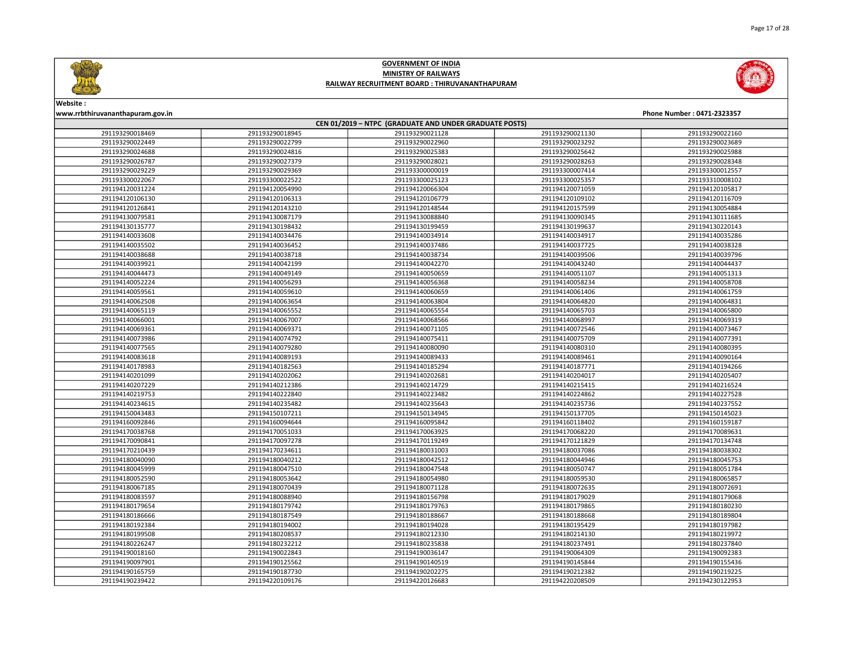

Page 17 of 28

### GOVERNMENT OF INDIA MINISTRY OF RAILWAYS RAILWAY RECRUITMENT BOARD : THIRUVANANTHAPURAM



| CEN 01/2019 - NTPC (GRADUATE AND UNDER GRADUATE POSTS) |                 |                 |                 |                 |  |
|--------------------------------------------------------|-----------------|-----------------|-----------------|-----------------|--|
| 291193290018469                                        | 291193290018945 | 291193290021128 | 291193290021130 | 291193290022160 |  |
| 291193290022449                                        | 291193290022799 | 291193290022960 | 291193290023292 | 291193290023689 |  |
| 291193290024688                                        | 291193290024816 | 291193290025383 | 291193290025642 | 291193290025988 |  |
| 291193290026787                                        | 291193290027379 | 291193290028021 | 291193290028263 | 291193290028348 |  |
| 291193290029229                                        | 291193290029369 | 291193300000019 | 291193300007414 | 291193300012557 |  |
| 291193300022067                                        | 291193300022522 | 291193300025123 | 291193300025357 | 291193310008102 |  |
| 291194120031224                                        | 291194120054990 | 291194120066304 | 291194120071059 | 291194120105817 |  |
| 291194120106130                                        | 291194120106313 | 291194120106779 | 291194120109102 | 291194120116709 |  |
| 291194120126841                                        | 291194120143210 | 291194120148544 | 291194120157599 | 291194130054884 |  |
| 291194130079581                                        | 291194130087179 | 291194130088840 | 291194130090345 | 291194130111685 |  |
| 291194130135777                                        | 291194130198432 | 291194130199459 | 291194130199637 | 291194130220143 |  |
| 291194140033608                                        | 291194140034476 | 291194140034914 | 291194140034917 | 291194140035286 |  |
| 291194140035502                                        | 291194140036452 | 291194140037486 | 291194140037725 | 291194140038328 |  |
| 291194140038688                                        | 291194140038718 | 291194140038734 | 291194140039506 | 291194140039796 |  |
| 291194140039921                                        | 291194140042199 | 291194140042270 | 291194140043240 | 291194140044437 |  |
| 291194140044473                                        | 291194140049149 | 291194140050659 | 291194140051107 | 291194140051313 |  |
| 291194140052224                                        | 291194140056293 | 291194140056368 | 291194140058234 | 291194140058708 |  |
| 291194140059561                                        | 291194140059610 | 291194140060659 | 291194140061406 | 291194140061759 |  |
| 291194140062508                                        | 291194140063654 | 291194140063804 | 291194140064820 | 291194140064831 |  |
| 291194140065119                                        | 291194140065552 | 291194140065554 | 291194140065703 | 291194140065800 |  |
| 291194140066001                                        | 291194140067007 | 291194140068566 | 291194140068997 | 291194140069319 |  |
| 291194140069361                                        | 291194140069371 | 291194140071105 | 291194140072546 | 291194140073467 |  |
| 291194140073986                                        | 291194140074792 | 291194140075411 | 291194140075709 | 291194140077391 |  |
| 291194140077565                                        | 291194140079280 | 291194140080090 | 291194140080310 | 291194140080395 |  |
| 291194140083618                                        | 291194140089193 | 291194140089433 | 291194140089461 | 291194140090164 |  |
| 291194140178983                                        | 291194140182563 | 291194140185294 | 291194140187771 | 291194140194266 |  |
| 291194140201099                                        | 291194140202062 | 291194140202681 | 291194140204017 | 291194140205407 |  |
| 291194140207229                                        | 291194140212386 | 291194140214729 | 291194140215415 | 291194140216524 |  |
| 291194140219753                                        | 291194140222840 | 291194140223482 | 291194140224862 | 291194140227528 |  |
| 291194140234615                                        | 291194140235482 | 291194140235643 | 291194140235736 | 291194140237552 |  |
| 291194150043483                                        | 291194150107211 | 291194150134945 | 291194150137705 | 291194150145023 |  |
| 291194160092846                                        | 291194160094644 | 291194160095842 | 291194160118402 | 291194160159187 |  |
| 291194170038768                                        | 291194170051033 | 291194170063925 | 291194170068220 | 291194170089631 |  |
| 291194170090841                                        | 291194170097278 | 291194170119249 | 291194170121829 | 291194170134748 |  |
| 291194170210439                                        | 291194170234611 | 291194180031003 | 291194180037086 | 291194180038302 |  |
| 291194180040090                                        | 291194180040212 | 291194180042512 | 291194180044946 | 291194180045753 |  |
| 291194180045999                                        | 291194180047510 | 291194180047548 | 291194180050747 | 291194180051784 |  |
| 291194180052590                                        | 291194180053642 | 291194180054980 | 291194180059530 | 291194180065857 |  |
| 291194180067185                                        | 291194180070439 | 291194180071128 | 291194180072635 | 291194180072691 |  |
| 291194180083597                                        | 291194180088940 | 291194180156798 | 291194180179029 | 291194180179068 |  |
| 291194180179654                                        | 291194180179742 | 291194180179763 | 291194180179865 | 291194180180230 |  |
| 291194180186666                                        | 291194180187549 | 291194180188667 | 291194180188668 | 291194180189804 |  |
| 291194180192384                                        | 291194180194002 | 291194180194028 | 291194180195429 | 291194180197982 |  |
| 291194180199508                                        | 291194180208537 | 291194180212330 | 291194180214130 | 291194180219972 |  |
| 291194180226247                                        | 291194180232212 | 291194180235838 | 291194180237491 | 291194180237840 |  |
| 291194190018160                                        | 291194190022843 | 291194190036147 | 291194190064309 | 291194190092383 |  |
| 291194190097901                                        | 291194190125562 | 291194190140519 | 291194190145844 | 291194190155436 |  |
| 291194190165759                                        | 291194190187730 | 291194190202275 | 291194190212382 | 291194190219225 |  |
| 291194190239422                                        | 291194220109176 | 291194220126683 | 291194220208509 | 291194230122953 |  |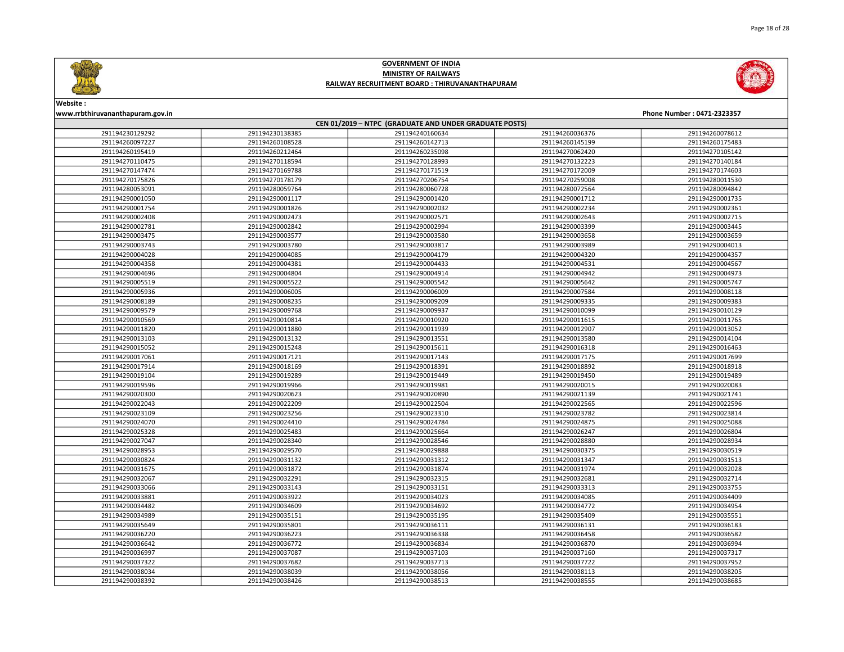

Page 18 of 28

### GOVERNMENT OF INDIA MINISTRY OF RAILWAYS RAILWAY RECRUITMENT BOARD : THIRUVANANTHAPURAM



Website :

### www.rrbthiruvananthapuram.gov.in Phone Number : 0471-2323357 CEN 01/2019 – NTPC (GRADUATE AND UNDER GRADUATE POSTS) 291194230138385 291194240160634 291194260036376 291194260078612 291194260108528 291194260142713 291194260145199 291194260175483 291194260212464 291194260235098 291194270062420 291194270105142 291194270118594 291194270128993 291194270132223 291194270140184 291194270169788 291194270171519 291194270172009 291194270174603 291194270178179 291194270206754 291194270259008 291194280011530 291194280059764 291194280060728 291194280072564 291194280094842 291194290001117 291194290001420 291194290001712 291194290001735 291194290001826 291194290002032 291194290002234 291194290002361 291194290002473 291194290002571 291194290002643 291194290002715 291194290002842 291194290002994 291194290003399 291194290003445 291194290003577 291194290003580 291194290003658 291194290003659 291194290003780 291194290003817 291194290003989 291194290004013 291194290004085 291194290004179 291194290004320 291194290004357 291194290004381 291194290004433 291194290004531 291194290004567 291194290004804 291194290004914 291194290004942 291194290004973 291194290005522 291194290005542 291194290005642 291194290005747 291194290006005 291194290006009 291194290007584 291194290008118 291194290008235 291194290009209 291194290009335 291194290009383 291194290009768 291194290009937 291194290010099 291194290010129 291194290010814 291194290010920 291194290011615 291194290011765 291194290011880 291194290011939 291194290012907 291194290013052 291194290013132 291194290013551 291194290013580 291194290014104 291194290015248 291194290015611 291194290016318 291194290016463 291194290017121 291194290017143 291194290017175 291194290017699 291194290018169 291194290018391 291194290018892 291194290018918 291194290019289 291194290019449 291194290019450 291194290019489 291194290019966 291194290019981 291194290020015 291194290020083 291194290020623 291194290020890 291194290021139 291194290021741 291194290022209 291194290022504 291194290022565 291194290022596 291194290023256 291194290023310 291194290023782 291194290023814 291194290024410 291194290024784 291194290024875 291194290025088 291194290025483 291194290025664 291194290026247 291194290026804 291194290028340 291194290028546 291194290028880 291194290028934 291194290029570 291194290029888 291194290030375 291194290030519 291194290031132 291194290031312 291194290031347 291194290031513 291194290031872 291194290031874 291194290031974 291194290032028 291194290032291 291194290032315 291194290032681 291194290032714 291194290033143 291194290033151 291194290033313 291194290033755 291194290033922 291194290034023 291194290034085 291194290034409 291194290034609 291194290034692 291194290034772 291194290034954 291194290035151 291194290035195 291194290035409 291194290035551 291194290035801 291194290036111 291194290036131 291194290036183 291194290036223 291194290036338 291194290036458 291194290036582 291194290036772 291194290036834 291194290036870 291194290036994 291194290037087 291194290037103 291194290037160 291194290037317 291194290037682 291194290037713 291194290037722 291194290037952 291194290038039 291194290038056 291194290038113 291194290038205

291194290038426 291194290038513 291194290038555 291194290038685

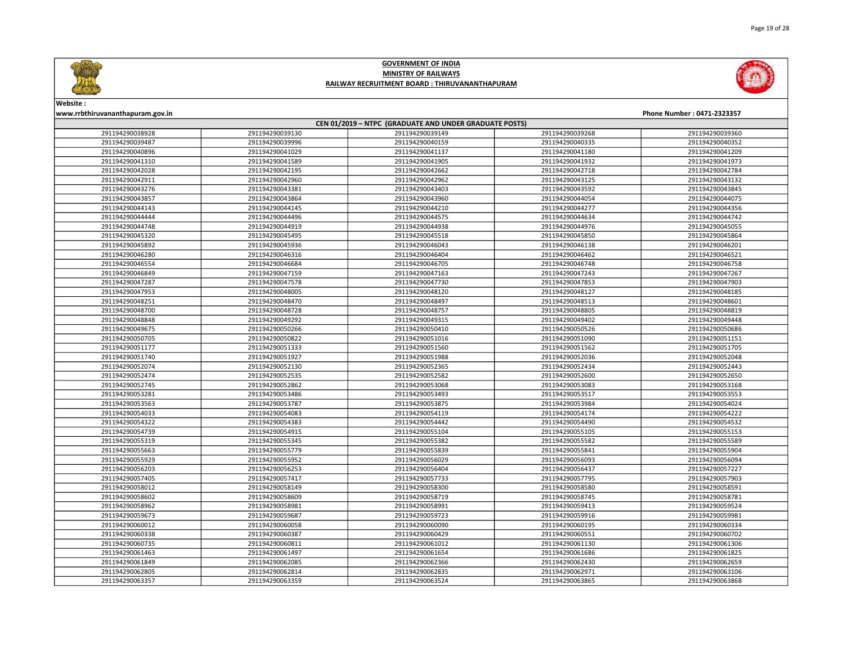



| CEN 01/2019 - NTPC (GRADUATE AND UNDER GRADUATE POSTS) |                 |                 |                 |                 |  |
|--------------------------------------------------------|-----------------|-----------------|-----------------|-----------------|--|
| 291194290038928                                        | 291194290039130 | 291194290039149 | 291194290039268 | 291194290039360 |  |
| 291194290039487                                        | 291194290039996 | 291194290040159 | 291194290040335 | 291194290040352 |  |
| 291194290040896                                        | 291194290041029 | 291194290041137 | 291194290041180 | 291194290041209 |  |
| 291194290041310                                        | 291194290041589 | 291194290041905 | 291194290041932 | 291194290041973 |  |
| 291194290042028                                        | 291194290042195 | 291194290042662 | 291194290042718 | 291194290042784 |  |
| 291194290042911                                        | 291194290042960 | 291194290042962 | 291194290043125 | 291194290043132 |  |
| 291194290043276                                        | 291194290043381 | 291194290043403 | 291194290043592 | 291194290043845 |  |
| 291194290043857                                        | 291194290043864 | 291194290043960 | 291194290044054 | 291194290044075 |  |
| 291194290044143                                        | 291194290044145 | 291194290044210 | 291194290044277 | 291194290044356 |  |
| 291194290044444                                        | 291194290044496 | 291194290044575 | 291194290044634 | 291194290044742 |  |
| 291194290044748                                        | 291194290044919 | 291194290044938 | 291194290044976 | 291194290045055 |  |
| 291194290045320                                        | 291194290045495 | 291194290045518 | 291194290045850 | 291194290045864 |  |
| 291194290045892                                        | 291194290045936 | 291194290046043 | 291194290046138 | 291194290046201 |  |
| 291194290046280                                        | 291194290046316 | 291194290046404 | 291194290046462 | 291194290046521 |  |
| 291194290046554                                        | 291194290046684 | 291194290046705 | 291194290046748 | 291194290046758 |  |
| 291194290046849                                        | 291194290047159 | 291194290047163 | 291194290047243 | 291194290047267 |  |
| 291194290047287                                        | 291194290047578 | 291194290047730 | 291194290047853 | 291194290047903 |  |
| 291194290047953                                        | 291194290048005 | 291194290048120 | 291194290048127 | 291194290048185 |  |
| 291194290048251                                        | 291194290048470 | 291194290048497 | 291194290048513 | 291194290048601 |  |
| 291194290048700                                        | 291194290048728 | 291194290048757 | 291194290048805 | 291194290048819 |  |
| 291194290048848                                        | 291194290049292 | 291194290049315 | 291194290049402 | 291194290049448 |  |
| 291194290049675                                        | 291194290050266 | 291194290050410 | 291194290050526 | 291194290050686 |  |
| 291194290050705                                        | 291194290050822 | 291194290051016 | 291194290051090 | 291194290051151 |  |
| 291194290051177                                        | 291194290051333 | 291194290051560 | 291194290051562 | 291194290051705 |  |
| 291194290051740                                        | 291194290051927 | 291194290051988 | 291194290052036 | 291194290052048 |  |
| 291194290052074                                        | 291194290052130 | 291194290052365 | 291194290052434 | 291194290052443 |  |
| 291194290052474                                        | 291194290052535 | 291194290052582 | 291194290052600 | 291194290052650 |  |
| 291194290052745                                        | 291194290052862 | 291194290053068 | 291194290053083 | 291194290053168 |  |
| 291194290053281                                        | 291194290053486 | 291194290053493 | 291194290053517 | 291194290053553 |  |
| 291194290053563                                        | 291194290053787 | 291194290053875 | 291194290053984 | 291194290054024 |  |
| 291194290054033                                        | 291194290054083 | 291194290054119 | 291194290054174 | 291194290054222 |  |
| 291194290054322                                        | 291194290054383 | 291194290054442 | 291194290054490 | 291194290054532 |  |
| 291194290054739                                        | 291194290054915 | 291194290055104 | 291194290055105 | 291194290055153 |  |
| 291194290055319                                        | 291194290055345 | 291194290055382 | 291194290055582 | 291194290055589 |  |
| 291194290055663                                        | 291194290055779 | 291194290055839 | 291194290055841 | 291194290055904 |  |
| 291194290055929                                        | 291194290055952 | 291194290056029 | 291194290056093 | 291194290056094 |  |
| 291194290056203                                        | 291194290056253 | 291194290056404 | 291194290056437 | 291194290057227 |  |
| 291194290057405                                        | 291194290057417 | 291194290057733 | 291194290057795 | 291194290057903 |  |
| 291194290058012                                        | 291194290058149 | 291194290058300 | 291194290058580 | 291194290058591 |  |
| 291194290058602                                        | 291194290058609 | 291194290058719 | 291194290058745 | 291194290058781 |  |
| 291194290058962                                        | 291194290058981 | 291194290058991 | 291194290059413 | 291194290059524 |  |
| 291194290059673                                        | 291194290059687 | 291194290059723 | 291194290059916 | 291194290059981 |  |
| 291194290060012                                        | 291194290060058 | 291194290060090 | 291194290060195 | 291194290060334 |  |
| 291194290060338                                        | 291194290060387 | 291194290060429 | 291194290060551 | 291194290060702 |  |
| 291194290060735                                        | 291194290060811 | 291194290061012 | 291194290061130 | 291194290061306 |  |
| 291194290061463                                        | 291194290061497 | 291194290061654 | 291194290061686 | 291194290061825 |  |
| 291194290061849                                        | 291194290062085 | 291194290062366 | 291194290062430 | 291194290062659 |  |
| 291194290062805                                        | 291194290062814 | 291194290062835 | 291194290062971 | 291194290063106 |  |
| 291194290063357                                        | 291194290063359 | 291194290063524 | 291194290063865 | 291194290063868 |  |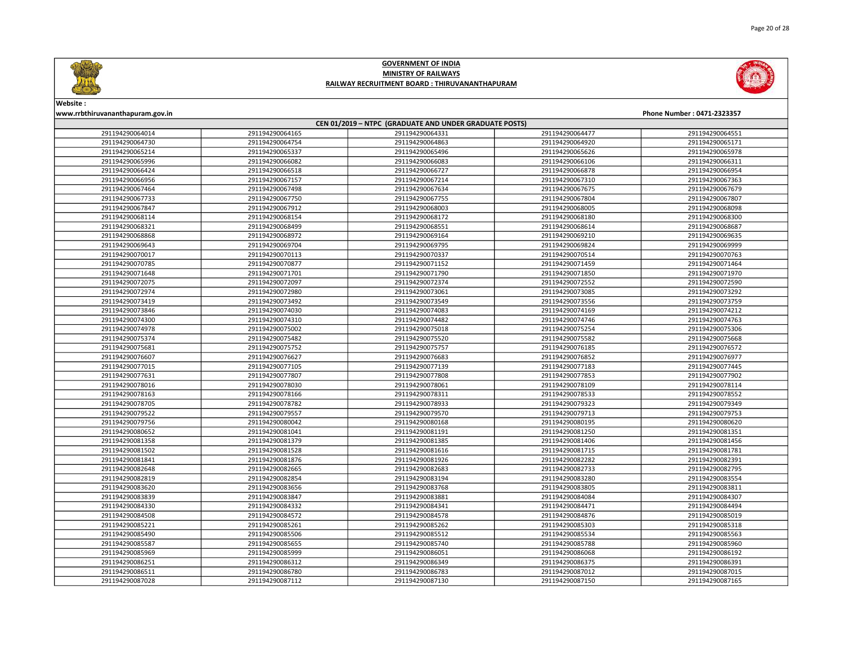

Page 20 of 28



### GOVERNMENT OF INDIA MINISTRY OF RAILWAYS RAILWAY RECRUITMENT BOARD : THIRUVANANTHAPURAM



### Website :

|                 |                 | CEN 01/2019 - NTPC (GRADUATE AND UNDER GRADUATE POSTS) |                 |                 |
|-----------------|-----------------|--------------------------------------------------------|-----------------|-----------------|
| 291194290064014 | 291194290064165 | 291194290064331                                        | 291194290064477 | 291194290064551 |
| 291194290064730 | 291194290064754 | 291194290064863                                        | 291194290064920 | 291194290065171 |
| 291194290065214 | 291194290065337 | 291194290065496                                        | 291194290065626 | 291194290065978 |
| 291194290065996 | 291194290066082 | 291194290066083                                        | 291194290066106 | 291194290066311 |
| 291194290066424 | 291194290066518 | 291194290066727                                        | 291194290066878 | 291194290066954 |
| 291194290066956 | 291194290067157 | 291194290067214                                        | 291194290067310 | 291194290067363 |
| 291194290067464 | 291194290067498 | 291194290067634                                        | 291194290067675 | 291194290067679 |
| 291194290067733 | 291194290067750 | 291194290067755                                        | 291194290067804 | 291194290067807 |
| 291194290067847 | 291194290067912 | 291194290068003                                        | 291194290068005 | 291194290068098 |
| 291194290068114 | 291194290068154 | 291194290068172                                        | 291194290068180 | 291194290068300 |
| 291194290068321 | 291194290068499 | 291194290068551                                        | 291194290068614 | 291194290068687 |
| 291194290068868 | 291194290068972 | 291194290069164                                        | 291194290069210 | 291194290069635 |
| 291194290069643 | 291194290069704 | 291194290069795                                        | 291194290069824 | 291194290069999 |
| 291194290070017 | 291194290070113 | 291194290070337                                        | 291194290070514 | 291194290070763 |
| 291194290070785 | 291194290070877 | 291194290071152                                        | 291194290071459 | 291194290071464 |
| 291194290071648 | 291194290071701 | 291194290071790                                        | 291194290071850 | 291194290071970 |
| 291194290072075 | 291194290072097 | 291194290072374                                        | 291194290072552 | 291194290072590 |
| 291194290072974 | 291194290072980 | 291194290073061                                        | 291194290073085 | 291194290073292 |
| 291194290073419 | 291194290073492 | 291194290073549                                        | 291194290073556 | 291194290073759 |
| 291194290073846 | 291194290074030 | 291194290074083                                        | 291194290074169 | 291194290074212 |
| 291194290074300 | 291194290074310 | 291194290074482                                        | 291194290074746 | 291194290074763 |
| 291194290074978 | 291194290075002 | 291194290075018                                        | 291194290075254 | 291194290075306 |
| 291194290075374 | 291194290075482 | 291194290075520                                        | 291194290075582 | 291194290075668 |
| 291194290075681 | 291194290075752 | 291194290075757                                        | 291194290076185 | 291194290076572 |
| 291194290076607 | 291194290076627 | 291194290076683                                        | 291194290076852 | 291194290076977 |
| 291194290077015 | 291194290077105 | 291194290077139                                        | 291194290077183 | 291194290077445 |
| 291194290077631 | 291194290077807 | 291194290077808                                        | 291194290077853 | 291194290077902 |
| 291194290078016 | 291194290078030 | 291194290078061                                        | 291194290078109 | 291194290078114 |
| 291194290078163 | 291194290078166 | 291194290078311                                        | 291194290078533 | 291194290078552 |
| 291194290078705 | 291194290078782 | 291194290078933                                        | 291194290079323 | 291194290079349 |
| 291194290079522 | 291194290079557 | 291194290079570                                        | 291194290079713 | 291194290079753 |
| 291194290079756 | 291194290080042 | 291194290080168                                        | 291194290080195 | 291194290080620 |
| 291194290080652 | 291194290081041 | 291194290081191                                        | 291194290081250 | 291194290081351 |
| 291194290081358 | 291194290081379 | 291194290081385                                        | 291194290081406 | 291194290081456 |
| 291194290081502 | 291194290081528 | 291194290081616                                        | 291194290081715 | 291194290081781 |
| 291194290081841 | 291194290081876 | 291194290081926                                        | 291194290082282 | 291194290082391 |
| 291194290082648 | 291194290082665 | 291194290082683                                        | 291194290082733 | 291194290082795 |
| 291194290082819 | 291194290082854 | 291194290083194                                        | 291194290083280 | 291194290083554 |
| 291194290083620 | 291194290083656 | 291194290083768                                        | 291194290083805 | 291194290083811 |
| 291194290083839 | 291194290083847 | 291194290083881                                        | 291194290084084 | 291194290084307 |
| 291194290084330 | 291194290084332 | 291194290084341                                        | 291194290084471 | 291194290084494 |
| 291194290084508 | 291194290084572 | 291194290084578                                        | 291194290084876 | 291194290085019 |
| 291194290085221 | 291194290085261 | 291194290085262                                        | 291194290085303 | 291194290085318 |
| 291194290085490 | 291194290085506 | 291194290085512                                        | 291194290085534 | 291194290085563 |
| 291194290085587 | 291194290085655 | 291194290085740                                        | 291194290085788 | 291194290085960 |
| 291194290085969 | 291194290085999 | 291194290086051                                        | 291194290086068 | 291194290086192 |
| 291194290086251 | 291194290086312 | 291194290086349                                        | 291194290086375 | 291194290086391 |
| 291194290086511 | 291194290086780 | 291194290086783                                        | 291194290087012 | 291194290087015 |
| 291194290087028 | 291194290087112 | 291194290087130                                        | 291194290087150 | 291194290087165 |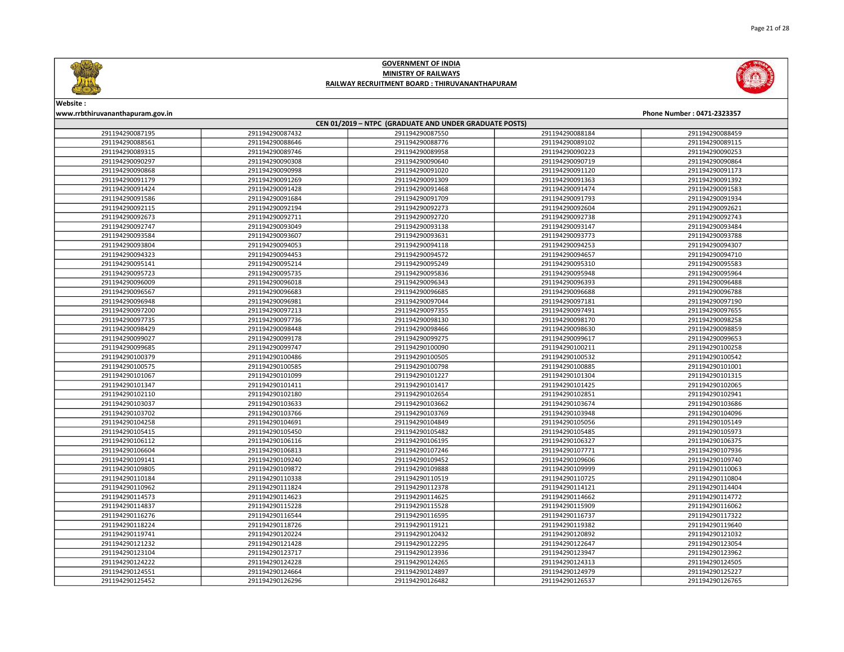



| CEN 01/2019 - NTPC (GRADUATE AND UNDER GRADUATE POSTS) |                 |                 |                 |                 |  |
|--------------------------------------------------------|-----------------|-----------------|-----------------|-----------------|--|
| 291194290087195                                        | 291194290087432 | 291194290087550 | 291194290088184 | 291194290088459 |  |
| 291194290088561                                        | 291194290088646 | 291194290088776 | 291194290089102 | 291194290089115 |  |
| 291194290089315                                        | 291194290089746 | 291194290089958 | 291194290090223 | 291194290090253 |  |
| 291194290090297                                        | 291194290090308 | 291194290090640 | 291194290090719 | 291194290090864 |  |
| 291194290090868                                        | 291194290090998 | 291194290091020 | 291194290091120 | 291194290091173 |  |
| 291194290091179                                        | 291194290091269 | 291194290091309 | 291194290091363 | 291194290091392 |  |
| 291194290091424                                        | 291194290091428 | 291194290091468 | 291194290091474 | 291194290091583 |  |
| 291194290091586                                        | 291194290091684 | 291194290091709 | 291194290091793 | 291194290091934 |  |
| 291194290092115                                        | 291194290092194 | 291194290092273 | 291194290092604 | 291194290092621 |  |
| 291194290092673                                        | 291194290092711 | 291194290092720 | 291194290092738 | 291194290092743 |  |
| 291194290092747                                        | 291194290093049 | 291194290093138 | 291194290093147 | 291194290093484 |  |
| 291194290093584                                        | 291194290093607 | 291194290093631 | 291194290093773 | 291194290093788 |  |
| 291194290093804                                        | 291194290094053 | 291194290094118 | 291194290094253 | 291194290094307 |  |
| 291194290094323                                        | 291194290094453 | 291194290094572 | 291194290094657 | 291194290094710 |  |
| 291194290095141                                        | 291194290095214 | 291194290095249 | 291194290095310 | 291194290095583 |  |
| 291194290095723                                        | 291194290095735 | 291194290095836 | 291194290095948 | 291194290095964 |  |
| 291194290096009                                        | 291194290096018 | 291194290096343 | 291194290096393 | 291194290096488 |  |
| 291194290096567                                        | 291194290096683 | 291194290096685 | 291194290096688 | 291194290096788 |  |
| 291194290096948                                        | 291194290096981 | 291194290097044 | 291194290097181 | 291194290097190 |  |
| 291194290097200                                        | 291194290097213 | 291194290097355 | 291194290097491 | 291194290097655 |  |
| 291194290097735                                        | 291194290097736 | 291194290098130 | 291194290098170 | 291194290098258 |  |
| 291194290098429                                        | 291194290098448 | 291194290098466 | 291194290098630 | 291194290098859 |  |
| 291194290099027                                        | 291194290099178 | 291194290099275 | 291194290099617 | 291194290099653 |  |
| 291194290099685                                        | 291194290099747 | 291194290100090 | 291194290100211 | 291194290100258 |  |
| 291194290100379                                        | 291194290100486 | 291194290100505 | 291194290100532 | 291194290100542 |  |
| 291194290100575                                        | 291194290100585 | 291194290100798 | 291194290100885 | 291194290101001 |  |
| 291194290101067                                        | 291194290101099 | 291194290101227 | 291194290101304 | 291194290101315 |  |
| 291194290101347                                        | 291194290101411 | 291194290101417 | 291194290101425 | 291194290102065 |  |
| 291194290102110                                        | 291194290102180 | 291194290102654 | 291194290102851 | 291194290102941 |  |
| 291194290103037                                        | 291194290103633 | 291194290103662 | 291194290103674 | 291194290103686 |  |
| 291194290103702                                        | 291194290103766 | 291194290103769 | 291194290103948 | 291194290104096 |  |
| 291194290104258                                        | 291194290104691 | 291194290104849 | 291194290105056 | 291194290105149 |  |
| 291194290105415                                        | 291194290105450 | 291194290105482 | 291194290105485 | 291194290105973 |  |
| 291194290106112                                        | 291194290106116 | 291194290106195 | 291194290106327 | 291194290106375 |  |
| 291194290106604                                        | 291194290106813 | 291194290107246 | 291194290107771 | 291194290107936 |  |
| 291194290109141                                        | 291194290109240 | 291194290109452 | 291194290109606 | 291194290109740 |  |
| 291194290109805                                        | 291194290109872 | 291194290109888 | 291194290109999 | 291194290110063 |  |
| 291194290110184                                        | 291194290110338 | 291194290110519 | 291194290110725 | 291194290110804 |  |
| 291194290110962                                        | 291194290111824 | 291194290112378 | 291194290114121 | 291194290114404 |  |
| 291194290114573                                        | 291194290114623 | 291194290114625 | 291194290114662 | 291194290114772 |  |
| 291194290114837                                        | 291194290115228 | 291194290115528 | 291194290115909 | 291194290116062 |  |
| 291194290116276                                        | 291194290116544 | 291194290116595 | 291194290116737 | 291194290117322 |  |
| 291194290118224                                        | 291194290118726 | 291194290119121 | 291194290119382 | 291194290119640 |  |
| 291194290119741                                        | 291194290120224 | 291194290120432 | 291194290120892 | 291194290121032 |  |
| 291194290121232                                        | 291194290121428 | 291194290122295 | 291194290122647 | 291194290123054 |  |
| 291194290123104                                        | 291194290123717 | 291194290123936 | 291194290123947 | 291194290123962 |  |
| 291194290124222                                        | 291194290124228 | 291194290124265 | 291194290124313 | 291194290124505 |  |
| 291194290124551                                        | 291194290124664 | 291194290124897 | 291194290124979 | 291194290125227 |  |
| 291194290125452                                        | 291194290126296 | 291194290126482 | 291194290126537 | 291194290126765 |  |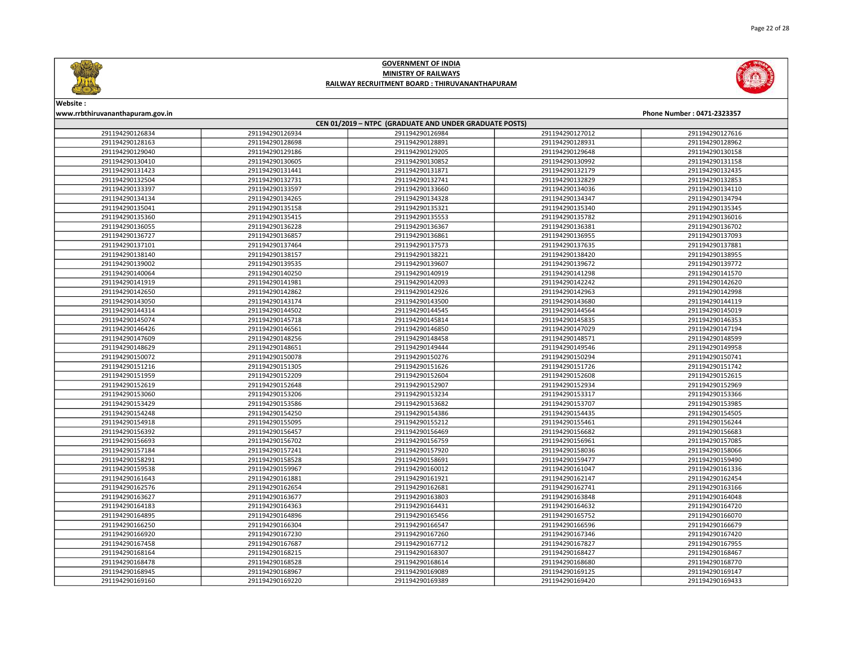



| CEN 01/2019 - NTPC (GRADUATE AND UNDER GRADUATE POSTS) |                 |                 |                 |                 |  |
|--------------------------------------------------------|-----------------|-----------------|-----------------|-----------------|--|
| 291194290126834                                        | 291194290126934 | 291194290126984 | 291194290127012 | 291194290127616 |  |
| 291194290128163                                        | 291194290128698 | 291194290128891 | 291194290128931 | 291194290128962 |  |
| 291194290129040                                        | 291194290129186 | 291194290129205 | 291194290129648 | 291194290130158 |  |
| 291194290130410                                        | 291194290130605 | 291194290130852 | 291194290130992 | 291194290131158 |  |
| 291194290131423                                        | 291194290131441 | 291194290131871 | 291194290132179 | 291194290132435 |  |
| 291194290132504                                        | 291194290132731 | 291194290132741 | 291194290132829 | 291194290132853 |  |
| 291194290133397                                        | 291194290133597 | 291194290133660 | 291194290134036 | 291194290134110 |  |
| 291194290134134                                        | 291194290134265 | 291194290134328 | 291194290134347 | 291194290134794 |  |
| 291194290135041                                        | 291194290135158 | 291194290135321 | 291194290135340 | 291194290135345 |  |
| 291194290135360                                        | 291194290135415 | 291194290135553 | 291194290135782 | 291194290136016 |  |
| 291194290136055                                        | 291194290136228 | 291194290136367 | 291194290136381 | 291194290136702 |  |
| 291194290136727                                        | 291194290136857 | 291194290136861 | 291194290136955 | 291194290137093 |  |
| 291194290137101                                        | 291194290137464 | 291194290137573 | 291194290137635 | 291194290137881 |  |
| 291194290138140                                        | 291194290138157 | 291194290138221 | 291194290138420 | 291194290138955 |  |
| 291194290139002                                        | 291194290139535 | 291194290139607 | 291194290139672 | 291194290139772 |  |
| 291194290140064                                        | 291194290140250 | 291194290140919 | 291194290141298 | 291194290141570 |  |
| 291194290141919                                        | 291194290141981 | 291194290142093 | 291194290142242 | 291194290142620 |  |
| 291194290142650                                        | 291194290142862 | 291194290142926 | 291194290142963 | 291194290142998 |  |
| 291194290143050                                        | 291194290143174 | 291194290143500 | 291194290143680 | 291194290144119 |  |
| 291194290144314                                        | 291194290144502 | 291194290144545 | 291194290144564 | 291194290145019 |  |
| 291194290145074                                        | 291194290145718 | 291194290145814 | 291194290145835 | 291194290146353 |  |
| 291194290146426                                        | 291194290146561 | 291194290146850 | 291194290147029 | 291194290147194 |  |
| 291194290147609                                        | 291194290148256 | 291194290148458 | 291194290148571 | 291194290148599 |  |
| 291194290148629                                        | 291194290148651 | 291194290149444 | 291194290149546 | 291194290149958 |  |
| 291194290150072                                        | 291194290150078 | 291194290150276 | 291194290150294 | 291194290150741 |  |
| 291194290151216                                        | 291194290151305 | 291194290151626 | 291194290151726 | 291194290151742 |  |
| 291194290151959                                        | 291194290152209 | 291194290152604 | 291194290152608 | 291194290152615 |  |
| 291194290152619                                        | 291194290152648 | 291194290152907 | 291194290152934 | 291194290152969 |  |
| 291194290153060                                        | 291194290153206 | 291194290153234 | 291194290153317 | 291194290153366 |  |
| 291194290153429                                        | 291194290153586 | 291194290153682 | 291194290153707 | 291194290153985 |  |
| 291194290154248                                        | 291194290154250 | 291194290154386 | 291194290154435 | 291194290154505 |  |
| 291194290154918                                        | 291194290155095 | 291194290155212 | 291194290155461 | 291194290156244 |  |
| 291194290156392                                        | 291194290156457 | 291194290156469 | 291194290156682 | 291194290156683 |  |
| 291194290156693                                        | 291194290156702 | 291194290156759 | 291194290156961 | 291194290157085 |  |
| 291194290157184                                        | 291194290157241 | 291194290157920 | 291194290158036 | 291194290158066 |  |
| 291194290158291                                        | 291194290158528 | 291194290158691 | 291194290159477 | 291194290159490 |  |
| 291194290159538                                        | 291194290159967 | 291194290160012 | 291194290161047 | 291194290161336 |  |
| 291194290161643                                        | 291194290161881 | 291194290161921 | 291194290162147 | 291194290162454 |  |
| 291194290162576                                        | 291194290162654 | 291194290162681 | 291194290162741 | 291194290163166 |  |
| 291194290163627                                        | 291194290163677 | 291194290163803 | 291194290163848 | 291194290164048 |  |
| 291194290164183                                        | 291194290164363 | 291194290164431 | 291194290164632 | 291194290164720 |  |
| 291194290164895                                        | 291194290164896 | 291194290165456 | 291194290165752 | 291194290166070 |  |
| 291194290166250                                        | 291194290166304 | 291194290166547 | 291194290166596 | 291194290166679 |  |
| 291194290166920                                        | 291194290167230 | 291194290167260 | 291194290167346 | 291194290167420 |  |
| 291194290167458                                        | 291194290167687 | 291194290167712 | 291194290167827 | 291194290167955 |  |
| 291194290168164                                        | 291194290168215 | 291194290168307 | 291194290168427 | 291194290168467 |  |
| 291194290168478                                        | 291194290168528 | 291194290168614 | 291194290168680 | 291194290168770 |  |
| 291194290168945                                        | 291194290168967 | 291194290169089 | 291194290169125 | 291194290169147 |  |
| 291194290169160                                        | 291194290169220 | 291194290169389 | 291194290169420 | 291194290169433 |  |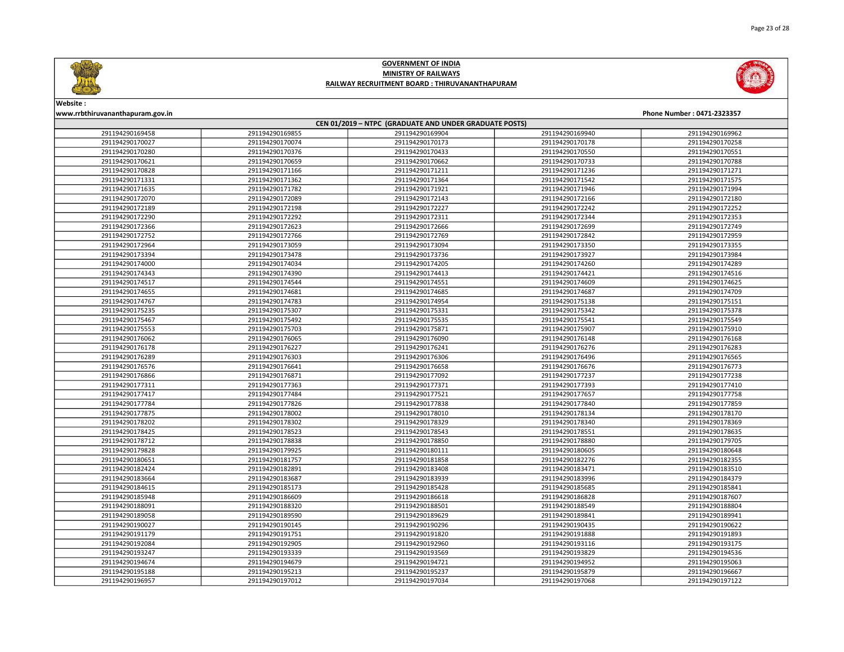



| CEN 01/2019 - NTPC (GRADUATE AND UNDER GRADUATE POSTS) |                 |                 |                 |                 |  |
|--------------------------------------------------------|-----------------|-----------------|-----------------|-----------------|--|
| 291194290169458                                        | 291194290169855 | 291194290169904 | 291194290169940 | 291194290169962 |  |
| 291194290170027                                        | 291194290170074 | 291194290170173 | 291194290170178 | 291194290170258 |  |
| 291194290170280                                        | 291194290170376 | 291194290170433 | 291194290170550 | 291194290170551 |  |
| 291194290170621                                        | 291194290170659 | 291194290170662 | 291194290170733 | 291194290170788 |  |
| 291194290170828                                        | 291194290171166 | 291194290171211 | 291194290171236 | 291194290171271 |  |
| 291194290171331                                        | 291194290171362 | 291194290171364 | 291194290171542 | 291194290171575 |  |
| 291194290171635                                        | 291194290171782 | 291194290171921 | 291194290171946 | 291194290171994 |  |
| 291194290172070                                        | 291194290172089 | 291194290172143 | 291194290172166 | 291194290172180 |  |
| 291194290172189                                        | 291194290172198 | 291194290172227 | 291194290172242 | 291194290172252 |  |
| 291194290172290                                        | 291194290172292 | 291194290172311 | 291194290172344 | 291194290172353 |  |
| 291194290172366                                        | 291194290172623 | 291194290172666 | 291194290172699 | 291194290172749 |  |
| 291194290172752                                        | 291194290172766 | 291194290172769 | 291194290172842 | 291194290172959 |  |
| 291194290172964                                        | 291194290173059 | 291194290173094 | 291194290173350 | 291194290173355 |  |
| 291194290173394                                        | 291194290173478 | 291194290173736 | 291194290173927 | 291194290173984 |  |
| 291194290174000                                        | 291194290174034 | 291194290174205 | 291194290174260 | 291194290174289 |  |
| 291194290174343                                        | 291194290174390 | 291194290174413 | 291194290174421 | 291194290174516 |  |
| 291194290174517                                        | 291194290174544 | 291194290174551 | 291194290174609 | 291194290174625 |  |
| 291194290174655                                        | 291194290174681 | 291194290174685 | 291194290174687 | 291194290174709 |  |
| 291194290174767                                        | 291194290174783 | 291194290174954 | 291194290175138 | 291194290175151 |  |
| 291194290175235                                        | 291194290175307 | 291194290175331 | 291194290175342 | 291194290175378 |  |
| 291194290175467                                        | 291194290175492 | 291194290175535 | 291194290175541 | 291194290175549 |  |
| 291194290175553                                        | 291194290175703 | 291194290175871 | 291194290175907 | 291194290175910 |  |
| 291194290176062                                        | 291194290176065 | 291194290176090 | 291194290176148 | 291194290176168 |  |
| 291194290176178                                        | 291194290176227 | 291194290176241 | 291194290176276 | 291194290176283 |  |
| 291194290176289                                        | 291194290176303 | 291194290176306 | 291194290176496 | 291194290176565 |  |
| 291194290176576                                        | 291194290176641 | 291194290176658 | 291194290176676 | 291194290176773 |  |
| 291194290176866                                        | 291194290176871 | 291194290177092 | 291194290177237 | 291194290177238 |  |
| 291194290177311                                        | 291194290177363 | 291194290177371 | 291194290177393 | 291194290177410 |  |
| 291194290177417                                        | 291194290177484 | 291194290177521 | 291194290177657 | 291194290177758 |  |
| 291194290177784                                        | 291194290177826 | 291194290177838 | 291194290177840 | 291194290177859 |  |
| 291194290177875                                        | 291194290178002 | 291194290178010 | 291194290178134 | 291194290178170 |  |
| 291194290178202                                        | 291194290178302 | 291194290178329 | 291194290178340 | 291194290178369 |  |
| 291194290178425                                        | 291194290178523 | 291194290178543 | 291194290178551 | 291194290178635 |  |
| 291194290178712                                        | 291194290178838 | 291194290178850 | 291194290178880 | 291194290179705 |  |
| 291194290179828                                        | 291194290179925 | 291194290180111 | 291194290180605 | 291194290180648 |  |
| 291194290180651                                        | 291194290181757 | 291194290181858 | 291194290182276 | 291194290182355 |  |
| 291194290182424                                        | 291194290182891 | 291194290183408 | 291194290183471 | 291194290183510 |  |
| 291194290183664                                        | 291194290183687 | 291194290183939 | 291194290183996 | 291194290184379 |  |
| 291194290184615                                        | 291194290185173 | 291194290185428 | 291194290185685 | 291194290185841 |  |
| 291194290185948                                        | 291194290186609 | 291194290186618 | 291194290186828 | 291194290187607 |  |
| 291194290188091                                        | 291194290188320 | 291194290188501 | 291194290188549 | 291194290188804 |  |
| 291194290189058                                        | 291194290189590 | 291194290189629 | 291194290189841 | 291194290189941 |  |
| 291194290190027                                        | 291194290190145 | 291194290190296 | 291194290190435 | 291194290190622 |  |
| 291194290191179                                        | 291194290191751 | 291194290191820 | 291194290191888 | 291194290191893 |  |
| 291194290192084                                        | 291194290192905 | 291194290192960 | 291194290193116 | 291194290193175 |  |
| 291194290193247                                        | 291194290193339 | 291194290193569 | 291194290193829 | 291194290194536 |  |
| 291194290194674                                        | 291194290194679 | 291194290194721 | 291194290194952 | 291194290195063 |  |
| 291194290195188                                        | 291194290195213 | 291194290195237 | 291194290195879 | 291194290196667 |  |
| 291194290196957                                        | 291194290197012 | 291194290197034 | 291194290197068 | 291194290197122 |  |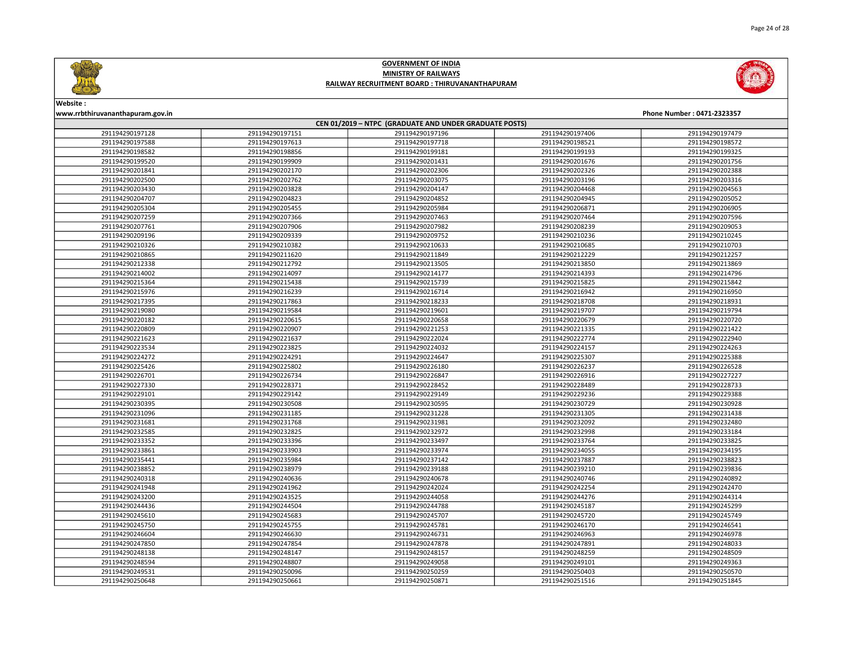





Website :

| CEN 01/2019 - NTPC (GRADUATE AND UNDER GRADUATE POSTS) |                 |                 |                 |                 |  |
|--------------------------------------------------------|-----------------|-----------------|-----------------|-----------------|--|
| 291194290197128                                        | 291194290197151 | 291194290197196 | 291194290197406 | 291194290197479 |  |
| 291194290197588                                        | 291194290197613 | 291194290197718 | 291194290198521 | 291194290198572 |  |
| 291194290198582                                        | 291194290198856 | 291194290199181 | 291194290199193 | 291194290199325 |  |
| 291194290199520                                        | 291194290199909 | 291194290201431 | 291194290201676 | 291194290201756 |  |
| 291194290201841                                        | 291194290202170 | 291194290202306 | 291194290202326 | 291194290202388 |  |
| 291194290202500                                        | 291194290202762 | 291194290203075 | 291194290203196 | 291194290203316 |  |
| 291194290203430                                        | 291194290203828 | 291194290204147 | 291194290204468 | 291194290204563 |  |
| 291194290204707                                        | 291194290204823 | 291194290204852 | 291194290204945 | 291194290205052 |  |
| 291194290205304                                        | 291194290205455 | 291194290205984 | 291194290206871 | 291194290206905 |  |
| 291194290207259                                        | 291194290207366 | 291194290207463 | 291194290207464 | 291194290207596 |  |
| 291194290207761                                        | 291194290207906 | 291194290207982 | 291194290208239 | 291194290209053 |  |
| 291194290209196                                        | 291194290209339 | 291194290209752 | 291194290210236 | 291194290210245 |  |
| 291194290210326                                        | 291194290210382 | 291194290210633 | 291194290210685 | 291194290210703 |  |
| 291194290210865                                        | 291194290211620 | 291194290211849 | 291194290212229 | 291194290212257 |  |
| 291194290212338                                        | 291194290212792 | 291194290213505 | 291194290213850 | 291194290213869 |  |
| 291194290214002                                        | 291194290214097 | 291194290214177 | 291194290214393 | 291194290214796 |  |
| 291194290215364                                        | 291194290215438 | 291194290215739 | 291194290215825 | 291194290215842 |  |
| 291194290215976                                        | 291194290216239 | 291194290216714 | 291194290216942 | 291194290216950 |  |
| 291194290217395                                        | 291194290217863 | 291194290218233 | 291194290218708 | 291194290218931 |  |
| 291194290219080                                        | 291194290219584 | 291194290219601 | 291194290219707 | 291194290219794 |  |
| 291194290220182                                        | 291194290220615 | 291194290220658 | 291194290220679 | 291194290220720 |  |
| 291194290220809                                        | 291194290220907 | 291194290221253 | 291194290221335 | 291194290221422 |  |
| 291194290221623                                        | 291194290221637 | 291194290222024 | 291194290222774 | 291194290222940 |  |
| 291194290223534                                        | 291194290223825 | 291194290224032 | 291194290224157 | 291194290224263 |  |
| 291194290224272                                        | 291194290224291 | 291194290224647 | 291194290225307 | 291194290225388 |  |
| 291194290225426                                        | 291194290225802 | 291194290226180 | 291194290226237 | 291194290226528 |  |
| 291194290226701                                        | 291194290226734 | 291194290226847 | 291194290226916 | 291194290227227 |  |
| 291194290227330                                        | 291194290228371 | 291194290228452 | 291194290228489 | 291194290228733 |  |
| 291194290229101                                        | 291194290229142 | 291194290229149 | 291194290229236 | 291194290229388 |  |
| 291194290230395                                        | 291194290230508 | 291194290230595 | 291194290230729 | 291194290230928 |  |
| 291194290231096                                        | 291194290231185 | 291194290231228 | 291194290231305 | 291194290231438 |  |
| 291194290231681                                        | 291194290231768 | 291194290231981 | 291194290232092 | 291194290232480 |  |
| 291194290232585                                        | 291194290232825 | 291194290232972 | 291194290232998 | 291194290233184 |  |
| 291194290233352                                        | 291194290233396 | 291194290233497 | 291194290233764 | 291194290233825 |  |
| 291194290233861                                        | 291194290233903 | 291194290233974 | 291194290234055 | 291194290234195 |  |
| 291194290235441                                        | 291194290235984 | 291194290237142 | 291194290237887 | 291194290238823 |  |
| 291194290238852                                        | 291194290238979 | 291194290239188 | 291194290239210 | 291194290239836 |  |
| 291194290240318                                        | 291194290240636 | 291194290240678 | 291194290240746 | 291194290240892 |  |
| 291194290241948                                        | 291194290241962 | 291194290242024 | 291194290242254 | 291194290242470 |  |
| 291194290243200                                        | 291194290243525 | 291194290244058 | 291194290244276 | 291194290244314 |  |
| 291194290244436                                        | 291194290244504 | 291194290244788 | 291194290245187 | 291194290245299 |  |
| 291194290245610                                        | 291194290245683 | 291194290245707 | 291194290245720 | 291194290245749 |  |
| 291194290245750                                        | 291194290245755 | 291194290245781 | 291194290246170 | 291194290246541 |  |
| 291194290246604                                        | 291194290246630 | 291194290246731 | 291194290246963 | 291194290246978 |  |
| 291194290247850                                        | 291194290247854 | 291194290247878 | 291194290247891 | 291194290248033 |  |
| 291194290248138                                        | 291194290248147 | 291194290248157 | 291194290248259 | 291194290248509 |  |
| 291194290248594                                        | 291194290248807 | 291194290249058 | 291194290249101 | 291194290249363 |  |
| 291194290249531                                        | 291194290250096 | 291194290250259 | 291194290250403 | 291194290250570 |  |
| 291194290250648                                        | 291194290250661 | 291194290250871 | 291194290251516 | 291194290251845 |  |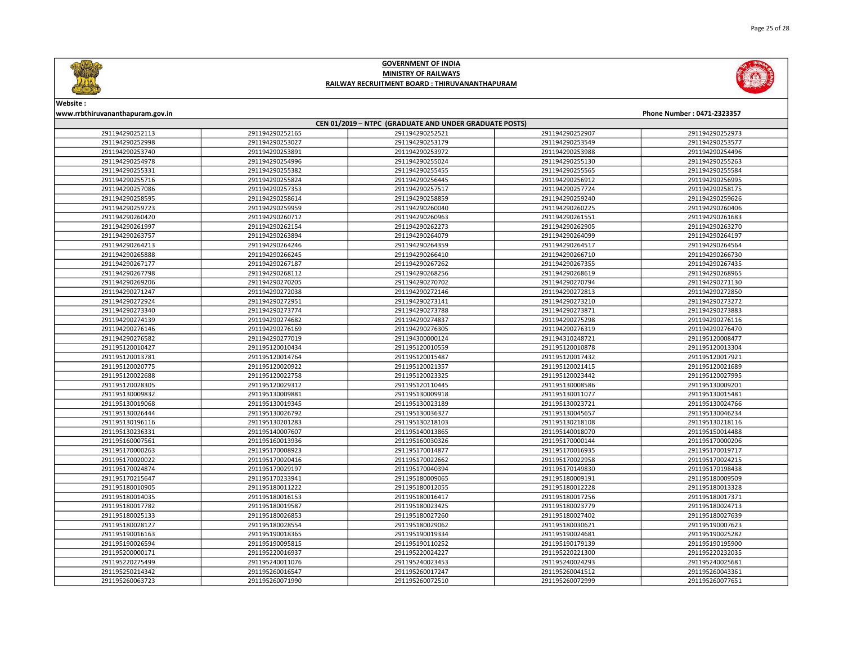

Page 25 of 28



### GOVERNMENT OF INDIA MINISTRY OF RAILWAYS RAILWAY RECRUITMENT BOARD : THIRUVANANTHAPURAM



# Website :

| CEN 01/2019 - NTPC (GRADUATE AND UNDER GRADUATE POSTS) |                 |                 |                 |                 |  |
|--------------------------------------------------------|-----------------|-----------------|-----------------|-----------------|--|
| 291194290252113                                        | 291194290252165 | 291194290252521 | 291194290252907 | 291194290252973 |  |
| 291194290252998                                        | 291194290253027 | 291194290253179 | 291194290253549 | 291194290253577 |  |
| 291194290253740                                        | 291194290253891 | 291194290253972 | 291194290253988 | 291194290254496 |  |
| 291194290254978                                        | 291194290254996 | 291194290255024 | 291194290255130 | 291194290255263 |  |
| 291194290255331                                        | 291194290255382 | 291194290255455 | 291194290255565 | 291194290255584 |  |
| 291194290255716                                        | 291194290255824 | 291194290256445 | 291194290256912 | 291194290256995 |  |
| 291194290257086                                        | 291194290257353 | 291194290257517 | 291194290257724 | 291194290258175 |  |
| 291194290258595                                        | 291194290258614 | 291194290258859 | 291194290259240 | 291194290259626 |  |
| 291194290259723                                        | 291194290259959 | 291194290260040 | 291194290260225 | 291194290260406 |  |
| 291194290260420                                        | 291194290260712 | 291194290260963 | 291194290261551 | 291194290261683 |  |
| 291194290261997                                        | 291194290262154 | 291194290262273 | 291194290262905 | 291194290263270 |  |
| 291194290263757                                        | 291194290263894 | 291194290264079 | 291194290264099 | 291194290264197 |  |
| 291194290264213                                        | 291194290264246 | 291194290264359 | 291194290264517 | 291194290264564 |  |
| 291194290265888                                        | 291194290266245 | 291194290266410 | 291194290266710 | 291194290266730 |  |
| 291194290267177                                        | 291194290267187 | 291194290267262 | 291194290267355 | 291194290267435 |  |
| 291194290267798                                        | 291194290268112 | 291194290268256 | 291194290268619 | 291194290268965 |  |
| 291194290269206                                        | 291194290270205 | 291194290270702 | 291194290270794 | 291194290271130 |  |
| 291194290271247                                        | 291194290272038 | 291194290272146 | 291194290272813 | 291194290272850 |  |
| 291194290272924                                        | 291194290272951 | 291194290273141 | 291194290273210 | 291194290273272 |  |
| 291194290273340                                        | 291194290273774 | 291194290273788 | 291194290273871 | 291194290273883 |  |
| 291194290274139                                        | 291194290274682 | 291194290274837 | 291194290275298 | 291194290276116 |  |
| 291194290276146                                        | 291194290276169 | 291194290276305 | 291194290276319 | 291194290276470 |  |
| 291194290276582                                        | 291194290277019 | 291194300000124 | 291194310248721 | 291195120008477 |  |
| 291195120010427                                        | 291195120010434 | 291195120010559 | 291195120010878 | 291195120013304 |  |
| 291195120013781                                        | 291195120014764 | 291195120015487 | 291195120017432 | 291195120017921 |  |
| 291195120020775                                        | 291195120020922 | 291195120021357 | 291195120021415 | 291195120021689 |  |
| 291195120022688                                        | 291195120022758 | 291195120023325 | 291195120023442 | 291195120027995 |  |
| 291195120028305                                        | 291195120029312 | 291195120110445 | 291195130008586 | 291195130009201 |  |
| 291195130009832                                        | 291195130009881 | 291195130009918 | 291195130011077 | 291195130015481 |  |
| 291195130019068                                        | 291195130019345 | 291195130023189 | 291195130023721 | 291195130024766 |  |
| 291195130026444                                        | 291195130026792 | 291195130036327 | 291195130045657 | 291195130046234 |  |
| 291195130196116                                        | 291195130201283 | 291195130218103 | 291195130218108 | 291195130218116 |  |
| 291195130236331                                        | 291195140007607 | 291195140013865 | 291195140018070 | 291195150014488 |  |
| 291195160007561                                        | 291195160013936 | 291195160030326 | 291195170000144 | 291195170000206 |  |
| 291195170000263                                        | 291195170008923 | 291195170014877 | 291195170016935 | 291195170019717 |  |
| 291195170020022                                        | 291195170020416 | 291195170022662 | 291195170022958 | 291195170024215 |  |
| 291195170024874                                        | 291195170029197 | 291195170040394 | 291195170149830 | 291195170198438 |  |
| 291195170215647                                        | 291195170233941 | 291195180009065 | 291195180009191 | 291195180009509 |  |
| 291195180010905                                        | 291195180011222 | 291195180012055 | 291195180012228 | 291195180013328 |  |
| 291195180014035                                        | 291195180016153 | 291195180016417 | 291195180017256 | 291195180017371 |  |
| 291195180017782                                        | 291195180019587 | 291195180023425 | 291195180023779 | 291195180024713 |  |
| 291195180025133                                        | 291195180026853 | 291195180027260 | 291195180027402 | 291195180027639 |  |
| 291195180028127                                        | 291195180028554 | 291195180029062 | 291195180030621 | 291195190007623 |  |
| 291195190016163                                        | 291195190018365 | 291195190019334 | 291195190024681 | 291195190025282 |  |
| 291195190026594                                        | 291195190095815 | 291195190110252 | 291195190179139 | 291195190195900 |  |
| 291195200000171                                        | 291195220016937 | 291195220024227 | 291195220221300 | 291195220232035 |  |
| 291195220275499                                        | 291195240011076 | 291195240023453 | 291195240024293 | 291195240025681 |  |
| 291195250214342                                        | 291195260016547 | 291195260017247 | 291195260041512 | 291195260043361 |  |
| 291195260063723                                        | 291195260071990 | 291195260072510 | 291195260072999 | 291195260077651 |  |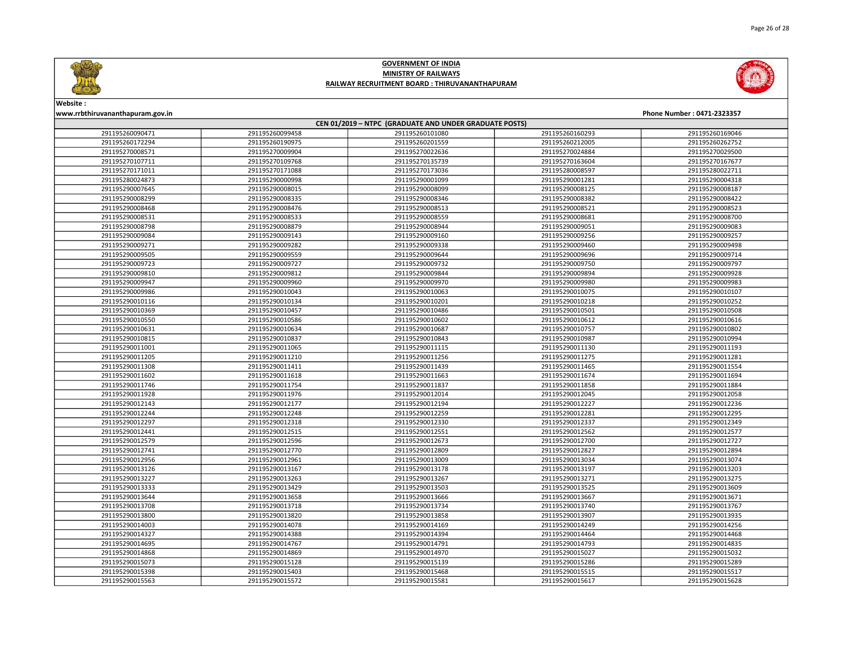





Website :

| CEN 01/2019 - NTPC (GRADUATE AND UNDER GRADUATE POSTS) |                 |                 |                 |                 |  |
|--------------------------------------------------------|-----------------|-----------------|-----------------|-----------------|--|
| 291195260090471                                        | 291195260099458 | 291195260101080 | 291195260160293 | 291195260169046 |  |
| 291195260172294                                        | 291195260190975 | 291195260201559 | 291195260212005 | 291195260262752 |  |
| 291195270008571                                        | 291195270009904 | 291195270022636 | 291195270024884 | 291195270029500 |  |
| 291195270107711                                        | 291195270109768 | 291195270135739 | 291195270163604 | 291195270167677 |  |
| 291195270171011                                        | 291195270171088 | 291195270173036 | 291195280008597 | 291195280022711 |  |
| 291195280024873                                        | 291195290000998 | 291195290001099 | 291195290001281 | 291195290004318 |  |
| 291195290007645                                        | 291195290008015 | 291195290008099 | 291195290008125 | 291195290008187 |  |
| 291195290008299                                        | 291195290008335 | 291195290008346 | 291195290008382 | 291195290008422 |  |
| 291195290008468                                        | 291195290008476 | 291195290008513 | 291195290008521 | 291195290008523 |  |
| 291195290008531                                        | 291195290008533 | 291195290008559 | 291195290008681 | 291195290008700 |  |
| 291195290008798                                        | 291195290008879 | 291195290008944 | 291195290009051 | 291195290009083 |  |
| 291195290009084                                        | 291195290009143 | 291195290009160 | 291195290009256 | 291195290009257 |  |
| 291195290009271                                        | 291195290009282 | 291195290009338 | 291195290009460 | 291195290009498 |  |
| 291195290009505                                        | 291195290009559 | 291195290009644 | 291195290009696 | 291195290009714 |  |
| 291195290009723                                        | 291195290009727 | 291195290009732 | 291195290009750 | 291195290009797 |  |
| 291195290009810                                        | 291195290009812 | 291195290009844 | 291195290009894 | 291195290009928 |  |
| 291195290009947                                        | 291195290009960 | 291195290009970 | 291195290009980 | 291195290009983 |  |
| 291195290009986                                        | 291195290010043 | 291195290010063 | 291195290010075 | 291195290010107 |  |
| 291195290010116                                        | 291195290010134 | 291195290010201 | 291195290010218 | 291195290010252 |  |
| 291195290010369                                        | 291195290010457 | 291195290010486 | 291195290010501 | 291195290010508 |  |
| 291195290010550                                        | 291195290010586 | 291195290010602 | 291195290010612 | 291195290010616 |  |
| 291195290010631                                        | 291195290010634 | 291195290010687 | 291195290010757 | 291195290010802 |  |
| 291195290010815                                        | 291195290010837 | 291195290010843 | 291195290010987 | 291195290010994 |  |
| 291195290011001                                        | 291195290011065 | 291195290011115 | 291195290011130 | 291195290011193 |  |
| 291195290011205                                        | 291195290011210 | 291195290011256 | 291195290011275 | 291195290011281 |  |
| 291195290011308                                        | 291195290011411 | 291195290011439 | 291195290011465 | 291195290011554 |  |
| 291195290011602                                        | 291195290011618 | 291195290011663 | 291195290011674 | 291195290011694 |  |
| 291195290011746                                        | 291195290011754 | 291195290011837 | 291195290011858 | 291195290011884 |  |
| 291195290011928                                        | 291195290011976 | 291195290012014 | 291195290012045 | 291195290012058 |  |
| 291195290012143                                        | 291195290012177 | 291195290012194 | 291195290012227 | 291195290012236 |  |
| 291195290012244                                        | 291195290012248 | 291195290012259 | 291195290012281 | 291195290012295 |  |
| 291195290012297                                        | 291195290012318 | 291195290012330 | 291195290012337 | 291195290012349 |  |
| 291195290012441                                        | 291195290012515 | 291195290012551 | 291195290012562 | 291195290012577 |  |
| 291195290012579                                        | 291195290012596 | 291195290012673 | 291195290012700 | 291195290012727 |  |
| 291195290012741                                        | 291195290012770 | 291195290012809 | 291195290012827 | 291195290012894 |  |
| 291195290012956                                        | 291195290012961 | 291195290013009 | 291195290013034 | 291195290013074 |  |
| 291195290013126                                        | 291195290013167 | 291195290013178 | 291195290013197 | 291195290013203 |  |
| 291195290013227                                        | 291195290013263 | 291195290013267 | 291195290013271 | 291195290013275 |  |
| 291195290013333                                        | 291195290013429 | 291195290013503 | 291195290013525 | 291195290013609 |  |
| 291195290013644                                        | 291195290013658 | 291195290013666 | 291195290013667 | 291195290013671 |  |
| 291195290013708                                        | 291195290013718 | 291195290013734 | 291195290013740 | 291195290013767 |  |
| 291195290013800                                        | 291195290013820 | 291195290013858 | 291195290013907 | 291195290013935 |  |
| 291195290014003                                        | 291195290014078 | 291195290014169 | 291195290014249 | 291195290014256 |  |
| 291195290014327                                        | 291195290014388 | 291195290014394 | 291195290014464 | 291195290014468 |  |
| 291195290014695                                        | 291195290014767 | 291195290014791 | 291195290014793 | 291195290014835 |  |
| 291195290014868                                        | 291195290014869 | 291195290014970 | 291195290015027 | 291195290015032 |  |
| 291195290015073                                        | 291195290015128 | 291195290015139 | 291195290015286 | 291195290015289 |  |
| 291195290015398                                        | 291195290015403 | 291195290015468 | 291195290015515 | 291195290015517 |  |
| 291195290015563                                        | 291195290015572 | 291195290015581 | 291195290015617 | 291195290015628 |  |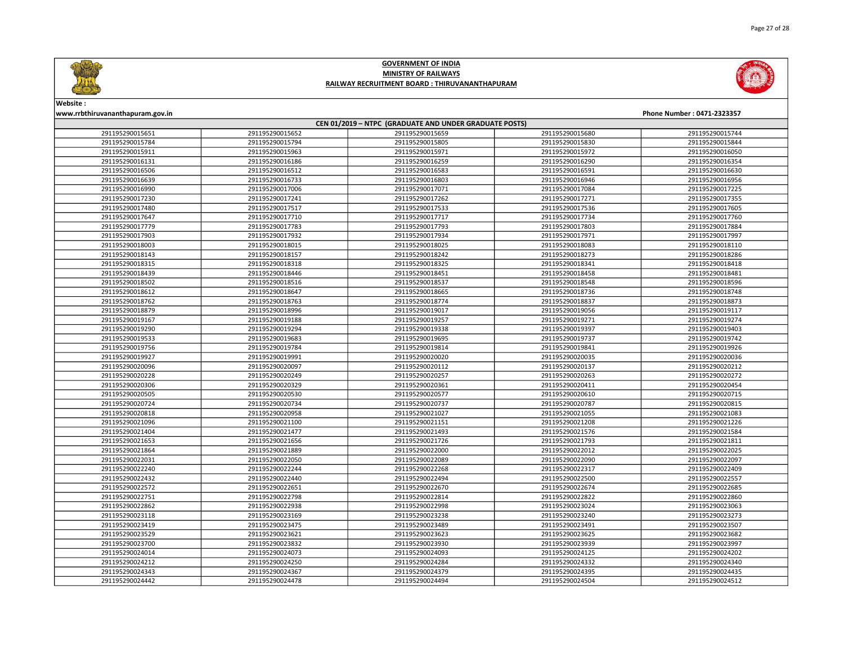



| CEN 01/2019 - NTPC (GRADUATE AND UNDER GRADUATE POSTS) |                 |                 |                 |                 |  |
|--------------------------------------------------------|-----------------|-----------------|-----------------|-----------------|--|
| 291195290015651                                        | 291195290015652 | 291195290015659 | 291195290015680 | 291195290015744 |  |
| 291195290015784                                        | 291195290015794 | 291195290015805 | 291195290015830 | 291195290015844 |  |
| 291195290015911                                        | 291195290015963 | 291195290015971 | 291195290015972 | 291195290016050 |  |
| 291195290016131                                        | 291195290016186 | 291195290016259 | 291195290016290 | 291195290016354 |  |
| 291195290016506                                        | 291195290016512 | 291195290016583 | 291195290016591 | 291195290016630 |  |
| 291195290016639                                        | 291195290016733 | 291195290016803 | 291195290016946 | 291195290016956 |  |
| 291195290016990                                        | 291195290017006 | 291195290017071 | 291195290017084 | 291195290017225 |  |
| 291195290017230                                        | 291195290017241 | 291195290017262 | 291195290017271 | 291195290017355 |  |
| 291195290017480                                        | 291195290017517 | 291195290017533 | 291195290017536 | 291195290017605 |  |
| 291195290017647                                        | 291195290017710 | 291195290017717 | 291195290017734 | 291195290017760 |  |
| 291195290017779                                        | 291195290017783 | 291195290017793 | 291195290017803 | 291195290017884 |  |
| 291195290017903                                        | 291195290017932 | 291195290017934 | 291195290017971 | 291195290017997 |  |
| 291195290018003                                        | 291195290018015 | 291195290018025 | 291195290018083 | 291195290018110 |  |
| 291195290018143                                        | 291195290018157 | 291195290018242 | 291195290018273 | 291195290018286 |  |
| 291195290018315                                        | 291195290018318 | 291195290018325 | 291195290018341 | 291195290018418 |  |
| 291195290018439                                        | 291195290018446 | 291195290018451 | 291195290018458 | 291195290018481 |  |
| 291195290018502                                        | 291195290018516 | 291195290018537 | 291195290018548 | 291195290018596 |  |
| 291195290018612                                        | 291195290018647 | 291195290018665 | 291195290018736 | 291195290018748 |  |
| 291195290018762                                        | 291195290018763 | 291195290018774 | 291195290018837 | 291195290018873 |  |
| 291195290018879                                        | 291195290018996 | 291195290019017 | 291195290019056 | 291195290019117 |  |
| 291195290019167                                        | 291195290019188 | 291195290019257 | 291195290019271 | 291195290019274 |  |
| 291195290019290                                        | 291195290019294 | 291195290019338 | 291195290019397 | 291195290019403 |  |
| 291195290019533                                        | 291195290019683 | 291195290019695 | 291195290019737 | 291195290019742 |  |
| 291195290019756                                        | 291195290019784 | 291195290019814 | 291195290019841 | 291195290019926 |  |
| 291195290019927                                        | 291195290019991 | 291195290020020 | 291195290020035 | 291195290020036 |  |
| 291195290020096                                        | 291195290020097 | 291195290020112 | 291195290020137 | 291195290020212 |  |
| 291195290020228                                        | 291195290020249 | 291195290020257 | 291195290020263 | 291195290020272 |  |
| 291195290020306                                        | 291195290020329 | 291195290020361 | 291195290020411 | 291195290020454 |  |
| 291195290020505                                        | 291195290020530 | 291195290020577 | 291195290020610 | 291195290020715 |  |
| 291195290020724                                        | 291195290020734 | 291195290020737 | 291195290020787 | 291195290020815 |  |
| 291195290020818                                        | 291195290020958 | 291195290021027 | 291195290021055 | 291195290021083 |  |
| 291195290021096                                        | 291195290021100 | 291195290021151 | 291195290021208 | 291195290021226 |  |
| 291195290021404                                        | 291195290021477 | 291195290021493 | 291195290021576 | 291195290021584 |  |
| 291195290021653                                        | 291195290021656 | 291195290021726 | 291195290021793 | 291195290021811 |  |
| 291195290021864                                        | 291195290021889 | 291195290022000 | 291195290022012 | 291195290022025 |  |
| 291195290022031                                        | 291195290022050 | 291195290022089 | 291195290022090 | 291195290022097 |  |
| 291195290022240                                        | 291195290022244 | 291195290022268 | 291195290022317 | 291195290022409 |  |
| 291195290022432                                        | 291195290022440 | 291195290022494 | 291195290022500 | 291195290022557 |  |
| 291195290022572                                        | 291195290022651 | 291195290022670 | 291195290022674 | 291195290022685 |  |
| 291195290022751                                        | 291195290022798 | 291195290022814 | 291195290022822 | 291195290022860 |  |
| 291195290022862                                        | 291195290022938 | 291195290022998 | 291195290023024 | 291195290023063 |  |
| 291195290023118                                        | 291195290023169 | 291195290023238 | 291195290023240 | 291195290023273 |  |
| 291195290023419                                        | 291195290023475 | 291195290023489 | 291195290023491 | 291195290023507 |  |
| 291195290023529                                        | 291195290023621 | 291195290023623 | 291195290023625 | 291195290023682 |  |
| 291195290023700                                        | 291195290023832 | 291195290023930 | 291195290023939 | 291195290023997 |  |
| 291195290024014                                        | 291195290024073 | 291195290024093 | 291195290024125 | 291195290024202 |  |
| 291195290024212                                        | 291195290024250 | 291195290024284 | 291195290024332 | 291195290024340 |  |
| 291195290024343                                        | 291195290024367 | 291195290024379 | 291195290024395 | 291195290024435 |  |
| 291195290024442                                        | 291195290024478 | 291195290024494 | 291195290024504 | 291195290024512 |  |